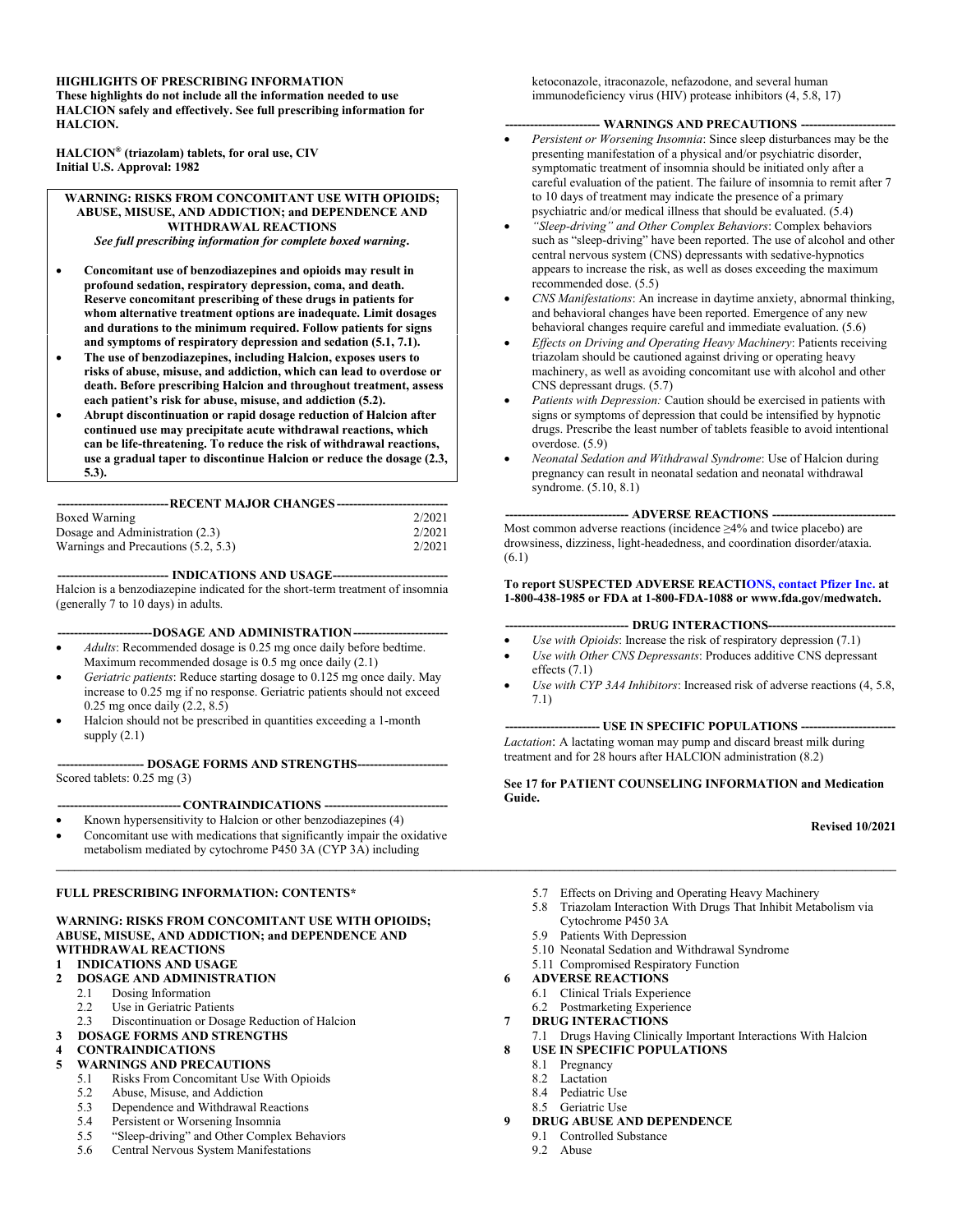#### **HIGHLIGHTS OF PRESCRIBING INFORMATION**

**These highlights do not include all the information needed to use HALCION safely and effectively. See full prescribing information for HALCION.**

**HALCION® (triazolam) tablets, for oral use, CIV Initial U.S. Approval: 1982**

#### **WARNING: RISKS FROM CONCOMITANT USE WITH OPIOIDS; ABUSE, MISUSE, AND ADDICTION; and DEPENDENCE AND WITHDRAWAL REACTIONS** *See full prescribing information for complete boxed warning***.**

 **Concomitant use of benzodiazepines and opioids may result in profound sedation, respiratory depression, coma, and death. Reserve concomitant prescribing of these drugs in patients for whom alternative treatment options are inadequate. Limit dosages** 

- **and durations to the minimum required. Follow patients for signs and symptoms of respiratory depression and sedation (5.1, 7.1). The use of benzodiazepines, including Halcion, exposes users to risks of abuse, misuse, and addiction, which can lead to overdose or death. Before prescribing Halcion and throughout treatment, assess**
- **each patient's risk for abuse, misuse, and addiction (5.2). Abrupt discontinuation or rapid dosage reduction of Halcion after continued use may precipitate acute withdrawal reactions, which can be life-threatening. To reduce the risk of withdrawal reactions, use a gradual taper to discontinue Halcion or reduce the dosage (2.3, 5.3).**

| Boxed Warning                       | 2/2021 |  |  |
|-------------------------------------|--------|--|--|
| Dosage and Administration (2.3)     | 2/2021 |  |  |
| Warnings and Precautions (5.2, 5.3) | 2/2021 |  |  |

--- **INDICATIONS AND USAGE----**

Halcion is a benzodiazepine indicated for the short-term treatment of insomnia (generally 7 to 10 days) in adults.

-DOSAGE AND ADMINISTRATION---

- *Adults*: Recommended dosage is 0.25 mg once daily before bedtime. Maximum recommended dosage is 0.5 mg once daily (2.1)
- *Geriatric patients*: Reduce starting dosage to 0.125 mg once daily. May increase to 0.25 mg if no response. Geriatric patients should not exceed 0.25 mg once daily (2.2, 8.5)
- Halcion should not be prescribed in quantities exceeding a 1-month supply (2.1)

**--------------------- DOSAGE FORMS AND STRENGTHS----------------------** Scored tablets: 0.25 mg (3)

#### --- **CONTRAINDICATIONS** ---

- Known hypersensitivity to Halcion or other benzodiazepines (4)
- Concomitant use with medications that significantly impair the oxidative metabolism mediated by cytochrome P450 3A (CYP 3A) including  $\mathcal{L} = \{ \mathcal{L} = \{ \mathcal{L} = \{ \mathcal{L} = \{ \mathcal{L} = \{ \mathcal{L} = \{ \mathcal{L} = \{ \mathcal{L} = \{ \mathcal{L} = \{ \mathcal{L} = \{ \mathcal{L} = \{ \mathcal{L} = \{ \mathcal{L} = \{ \mathcal{L} = \{ \mathcal{L} = \{ \mathcal{L} = \{ \mathcal{L} = \{ \mathcal{L} = \{ \mathcal{L} = \{ \mathcal{L} = \{ \mathcal{L} = \{ \mathcal{L} = \{ \mathcal{L} = \{ \mathcal{L} = \{ \mathcal{$

#### **FULL PRESCRIBING INFORMATION: CONTENTS\***

#### **WARNING: RISKS FROM CONCOMITANT USE WITH OPIOIDS; ABUSE, MISUSE, AND ADDICTION; and DEPENDENCE AND WITHDRAWAL REACTIONS**

#### **1 INDICATIONS AND USAGE 2 DOSAGE AND ADMINISTRATION**

- 2.1 Dosing Information
	- 2.2 Use in Geriatric Patients
- 2.3 Discontinuation or Dosage Reduction of Halcion
- **3 DOSAGE FORMS AND STRENGTHS**
- **4 CONTRAINDICATIONS**
- **5 WARNINGS AND PRECAUTIONS**
	- 5.1 Risks From Concomitant Use With Opioids<br>5.2 Abuse Misuse and Addiction
	- Abuse, Misuse, and Addiction
	- 5.3 Dependence and Withdrawal Reactions
	- 5.4 Persistent or Worsening Insomnia<br>5.5 "Sleen-driving" and Other Comple
	- 5.5 "Sleep-driving" and Other Complex Behaviors
	- 5.6 Central Nervous System Manifestations

ketoconazole, itraconazole, nefazodone, and several human immunodeficiency virus (HIV) protease inhibitors (4, 5.8, 17)

#### --- WARNINGS AND PRECAUTIONS ----

- *Persistent or Worsening Insomnia*: Since sleep disturbances may be the presenting manifestation of a physical and/or psychiatric disorder, symptomatic treatment of insomnia should be initiated only after a careful evaluation of the patient. The failure of insomnia to remit after 7 to 10 days of treatment may indicate the presence of a primary psychiatric and/or medical illness that should be evaluated. (5.4)
- *"Sleep-driving" and Other Complex Behaviors*: Complex behaviors such as "sleep-driving" have been reported. The use of alcohol and other central nervous system (CNS) depressants with sedative-hypnotics appears to increase the risk, as well as doses exceeding the maximum recommended dose. (5.5)
- *CNS Manifestations*: An increase in daytime anxiety, abnormal thinking, and behavioral changes have been reported. Emergence of any new behavioral changes require careful and immediate evaluation. (5.6)
- *Effects on Driving and Operating Heavy Machinery*: Patients receiving triazolam should be cautioned against driving or operating heavy machinery, as well as avoiding concomitant use with alcohol and other CNS depressant drugs. (5.7)
- *Patients with Depression:* Caution should be exercised in patients with signs or symptoms of depression that could be intensified by hypnotic drugs. Prescribe the least number of tablets feasible to avoid intentional overdose. (5.9)
- *Neonatal Sedation and Withdrawal Syndrome*: Use of Halcion during pregnancy can result in neonatal sedation and neonatal withdrawal syndrome. (5.10, 8.1)

#### --- **ADVERSE REACTIONS** --

Most common adverse reactions (incidence ≥4% and twice placebo) are drowsiness, dizziness, light-headedness, and coordination disorder/ataxia. (6.1)

#### **To report SUSPECTED ADVERSE REACTI[ONS, contact Pfizer Inc.](http://www.fda.gov/medwatch) at 1-800-438-1985 or FDA at 1-800-FDA-1088 or www.fda.gov/medwatch.**

- **------------------------------ DRUG INTERACTIONS-------------------------------**
- *Use with Opioids*: Increase the risk of respiratory depression (7.1) *Use with Other CNS Depressants*: Produces additive CNS depressant effects (7.1)
- *Use with CYP 3A4 Inhibitors*: Increased risk of adverse reactions (4, 5.8, 7.1)

#### **----------------------- USE IN SPECIFIC POPULATIONS -----------------------**

*Lactation*: A lactating woman may pump and discard breast milk during treatment and for 28 hours after HALCION administration (8.2)

#### **See 17 for PATIENT COUNSELING INFORMATION and Medication Guide.**

#### **Revised 10/2021**

- 5.7 Effects on Driving and Operating Heavy Machinery
- 5.8 Triazolam Interaction With Drugs That Inhibit Metabolism via Cytochrome P450 3A
- 5.9 Patients With Depression
- 5.10 Neonatal Sedation and Withdrawal Syndrome
- 5.11 Compromised Respiratory Function
- **6 ADVERSE REACTIONS**
	- 6.1 Clinical Trials Experience
	- 6.2 Postmarketing Experience
- **7 DRUG INTERACTIONS**
- 7.1 Drugs Having Clinically Important Interactions With Halcion
- **8 USE IN SPECIFIC POPULATIONS**
	- 8.1 Pregnancy
		- 8.2 Lactation
		- 8.4 Pediatric Use
		- 8.5 Geriatric Use
	- **9 DRUG ABUSE AND DEPENDENCE**
	- 9.1 Controlled Substance
		- 9.2 Abuse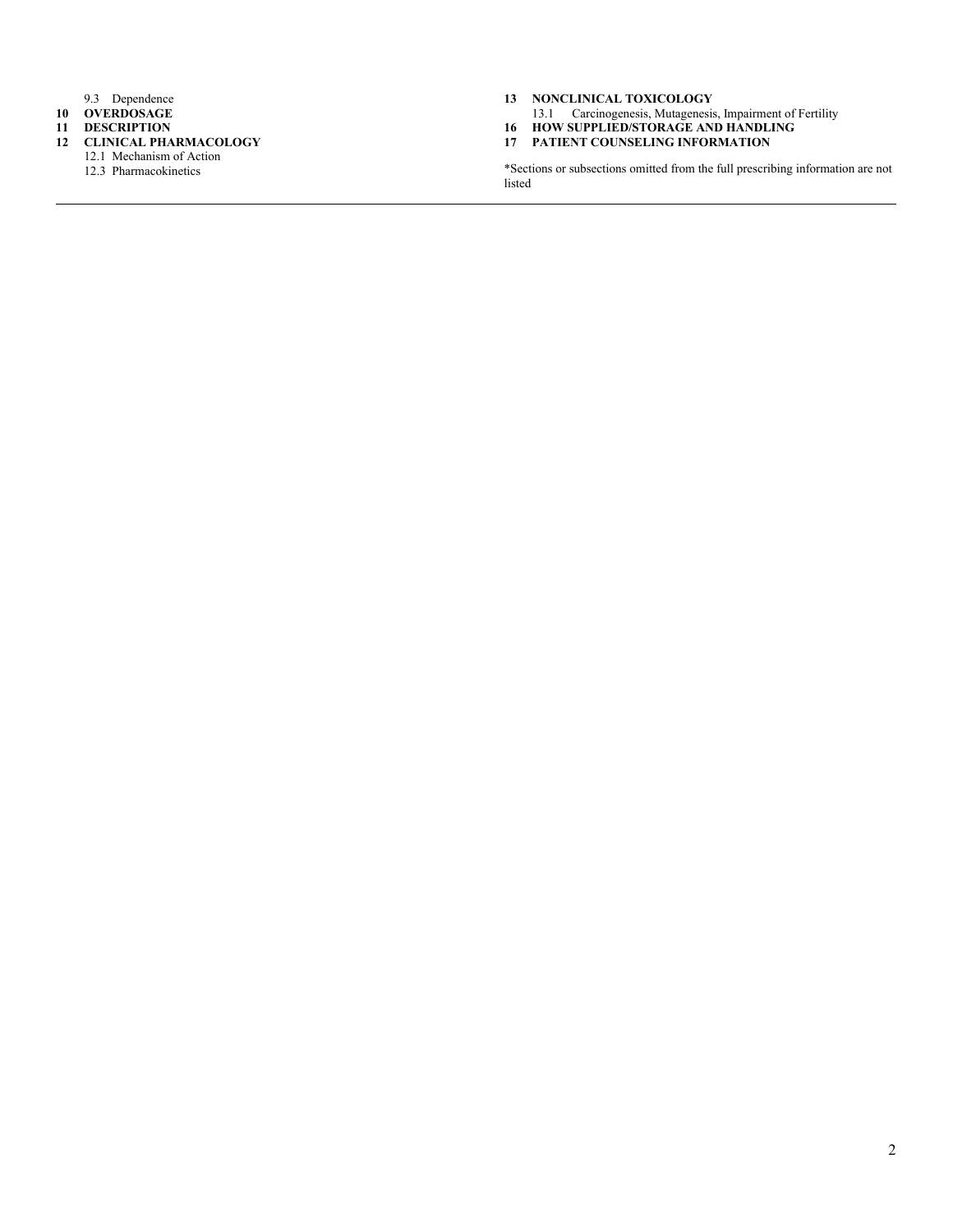- 9.3 Dependence
- **10 OVERDOSAGE**
- **11 DESCRIPTION**
- **12 CLINICAL PHARMACOLOGY**
	- 12.1 Mechanism of Action
	- 12.3 Pharmacokinetics
- **13 NONCLINICAL TOXICOLOGY**
- 13.1 Carcinogenesis, Mutagenesis, Impairment of Fertility
- **16 HOW SUPPLIED/STORAGE AND HANDLING**
- **17 PATIENT COUNSELING INFORMATION**

\*Sections or subsections omitted from the full prescribing information are not listed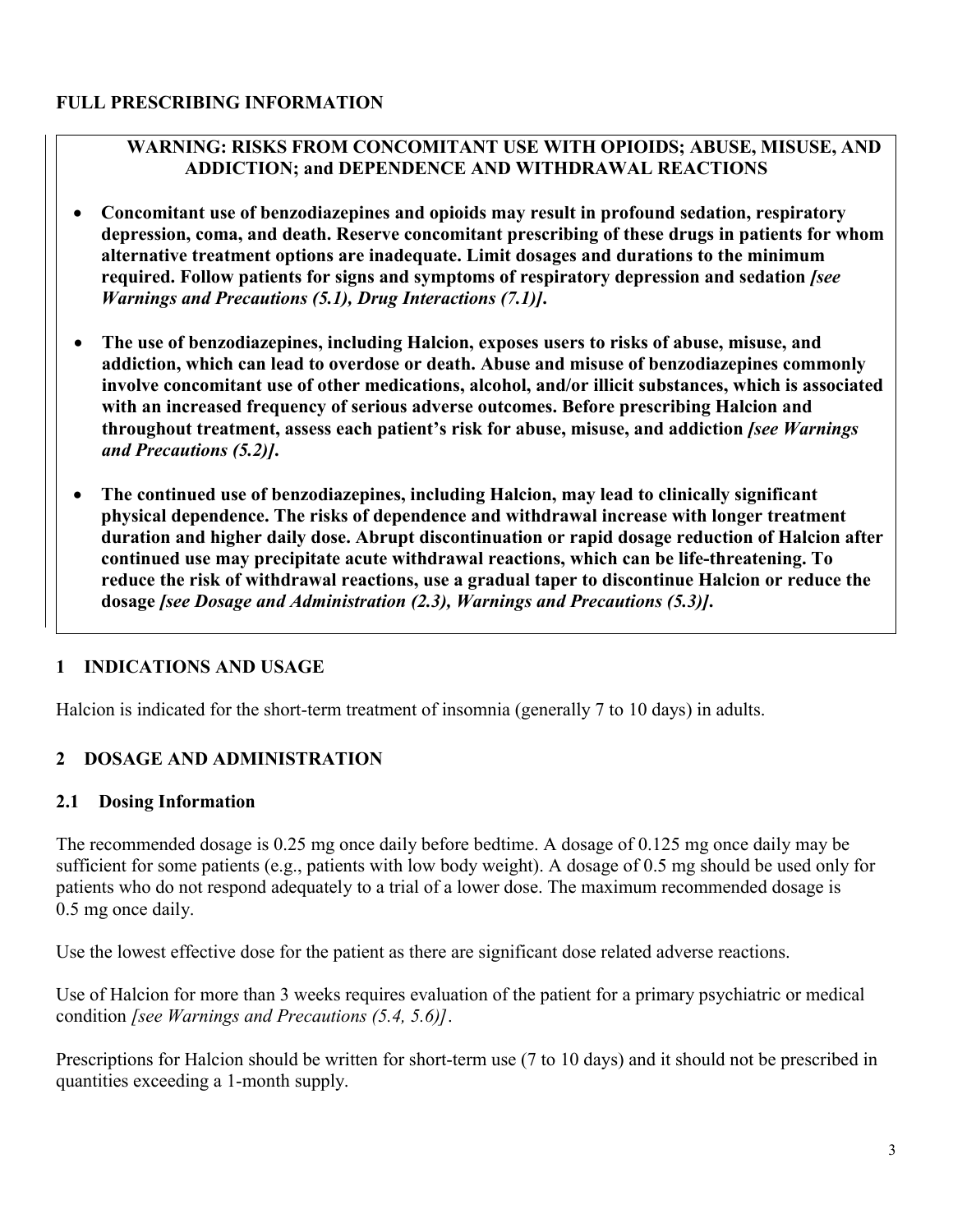## **FULL PRESCRIBING INFORMATION**

## **WARNING: RISKS FROM CONCOMITANT USE WITH OPIOIDS; ABUSE, MISUSE, AND ADDICTION; and DEPENDENCE AND WITHDRAWAL REACTIONS**

- **Concomitant use of benzodiazepines and opioids may result in profound sedation, respiratory depression, coma, and death. Reserve concomitant prescribing of these drugs in patients for whom alternative treatment options are inadequate. Limit dosages and durations to the minimum required. Follow patients for signs and symptoms of respiratory depression and sedation** *[see Warnings and Precautions (5.1), Drug Interactions (7.1)]***.**
- **The use of benzodiazepines, including Halcion, exposes users to risks of abuse, misuse, and addiction, which can lead to overdose or death. Abuse and misuse of benzodiazepines commonly involve concomitant use of other medications, alcohol, and/or illicit substances, which is associated with an increased frequency of serious adverse outcomes. Before prescribing Halcion and throughout treatment, assess each patient's risk for abuse, misuse, and addiction** *[see Warnings and Precautions (5.2)]***.**
- **The continued use of benzodiazepines, including Halcion, may lead to clinically significant physical dependence. The risks of dependence and withdrawal increase with longer treatment duration and higher daily dose. Abrupt discontinuation or rapid dosage reduction of Halcion after continued use may precipitate acute withdrawal reactions, which can be life-threatening. To reduce the risk of withdrawal reactions, use a gradual taper to discontinue Halcion or reduce the dosage** *[see Dosage and Administration (2.3), Warnings and Precautions (5.3)]***.**

## **1 INDICATIONS AND USAGE**

Halcion is indicated for the short-term treatment of insomnia (generally 7 to 10 days) in adults.

## **2 DOSAGE AND ADMINISTRATION**

## **2.1 Dosing Information**

The recommended dosage is 0.25 mg once daily before bedtime. A dosage of 0.125 mg once daily may be sufficient for some patients (e.g., patients with low body weight). A dosage of 0.5 mg should be used only for patients who do not respond adequately to a trial of a lower dose. The maximum recommended dosage is 0.5 mg once daily.

Use the lowest effective dose for the patient as there are significant dose related adverse reactions.

Use of Halcion for more than 3 weeks requires evaluation of the patient for a primary psychiatric or medical condition *[see Warnings and Precautions (5.4, 5.6)]*.

Prescriptions for Halcion should be written for short-term use (7 to 10 days) and it should not be prescribed in quantities exceeding a 1-month supply.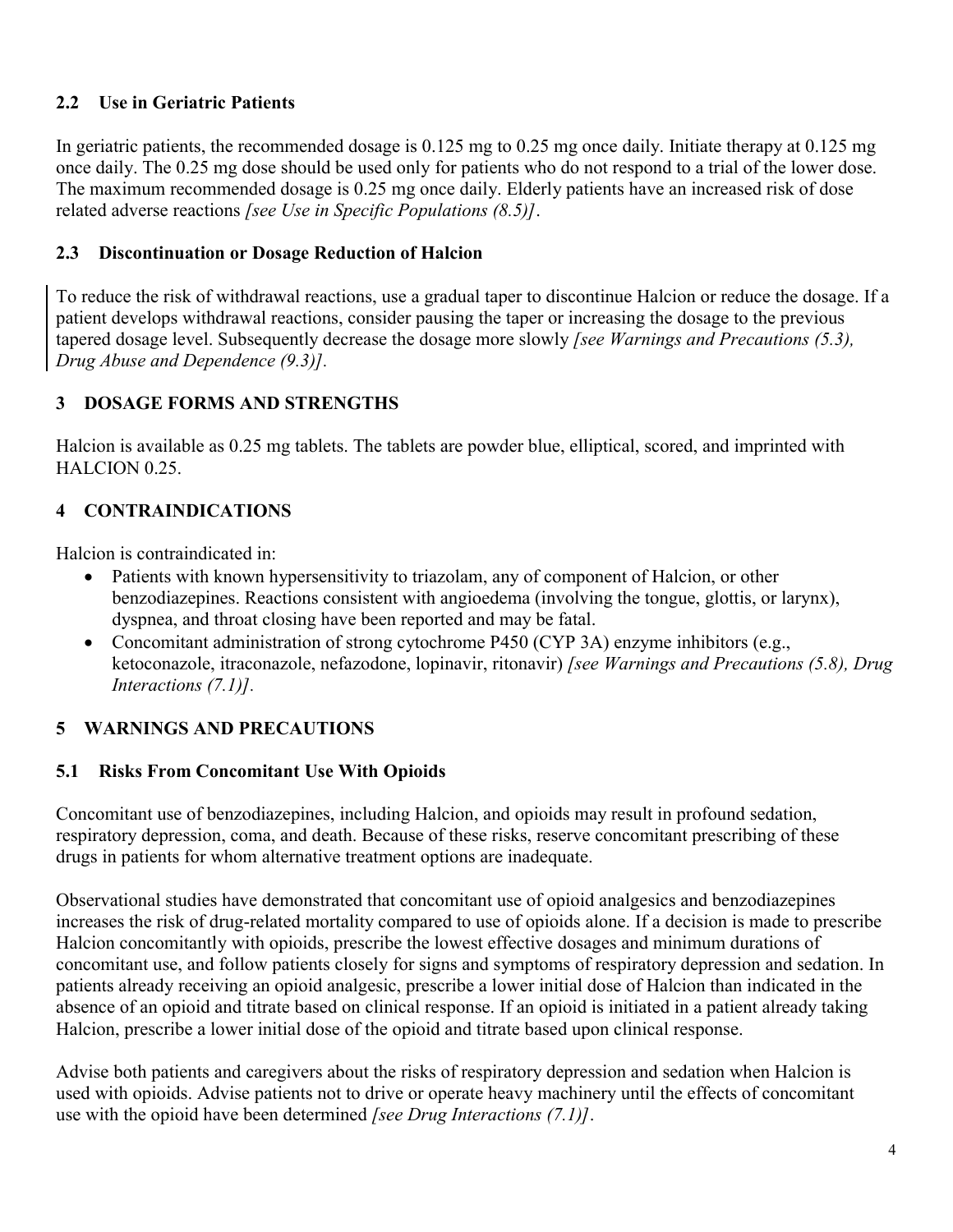# **2.2 Use in Geriatric Patients**

In geriatric patients, the recommended dosage is 0.125 mg to 0.25 mg once daily. Initiate therapy at 0.125 mg once daily. The 0.25 mg dose should be used only for patients who do not respond to a trial of the lower dose. The maximum recommended dosage is 0.25 mg once daily. Elderly patients have an increased risk of dose related adverse reactions *[see Use in Specific Populations (8.5)]*.

## **2.3 Discontinuation or Dosage Reduction of Halcion**

To reduce the risk of withdrawal reactions, use a gradual taper to discontinue Halcion or reduce the dosage. If a patient develops withdrawal reactions, consider pausing the taper or increasing the dosage to the previous tapered dosage level. Subsequently decrease the dosage more slowly *[see Warnings and Precautions (5.3), Drug Abuse and Dependence (9.3)].*

## **3 DOSAGE FORMS AND STRENGTHS**

Halcion is available as 0.25 mg tablets. The tablets are powder blue, elliptical, scored, and imprinted with HALCION 0.25.

## **4 CONTRAINDICATIONS**

Halcion is contraindicated in:

- Patients with known hypersensitivity to triazolam, any of component of Halcion, or other benzodiazepines. Reactions consistent with angioedema (involving the tongue, glottis, or larynx), dyspnea, and throat closing have been reported and may be fatal.
- Concomitant administration of strong cytochrome P450 (CYP 3A) enzyme inhibitors (e.g., ketoconazole, itraconazole, nefazodone, lopinavir, ritonavir) *[see Warnings and Precautions (5.8), Drug Interactions (7.1)].*

## **5 WARNINGS AND PRECAUTIONS**

## **5.1 Risks From Concomitant Use With Opioids**

Concomitant use of benzodiazepines, including Halcion, and opioids may result in profound sedation, respiratory depression, coma, and death. Because of these risks, reserve concomitant prescribing of these drugs in patients for whom alternative treatment options are inadequate.

Observational studies have demonstrated that concomitant use of opioid analgesics and benzodiazepines increases the risk of drug-related mortality compared to use of opioids alone. If a decision is made to prescribe Halcion concomitantly with opioids, prescribe the lowest effective dosages and minimum durations of concomitant use, and follow patients closely for signs and symptoms of respiratory depression and sedation. In patients already receiving an opioid analgesic, prescribe a lower initial dose of Halcion than indicated in the absence of an opioid and titrate based on clinical response. If an opioid is initiated in a patient already taking Halcion, prescribe a lower initial dose of the opioid and titrate based upon clinical response.

Advise both patients and caregivers about the risks of respiratory depression and sedation when Halcion is used with opioids. Advise patients not to drive or operate heavy machinery until the effects of concomitant use with the opioid have been determined *[see Drug Interactions (7.1)]*.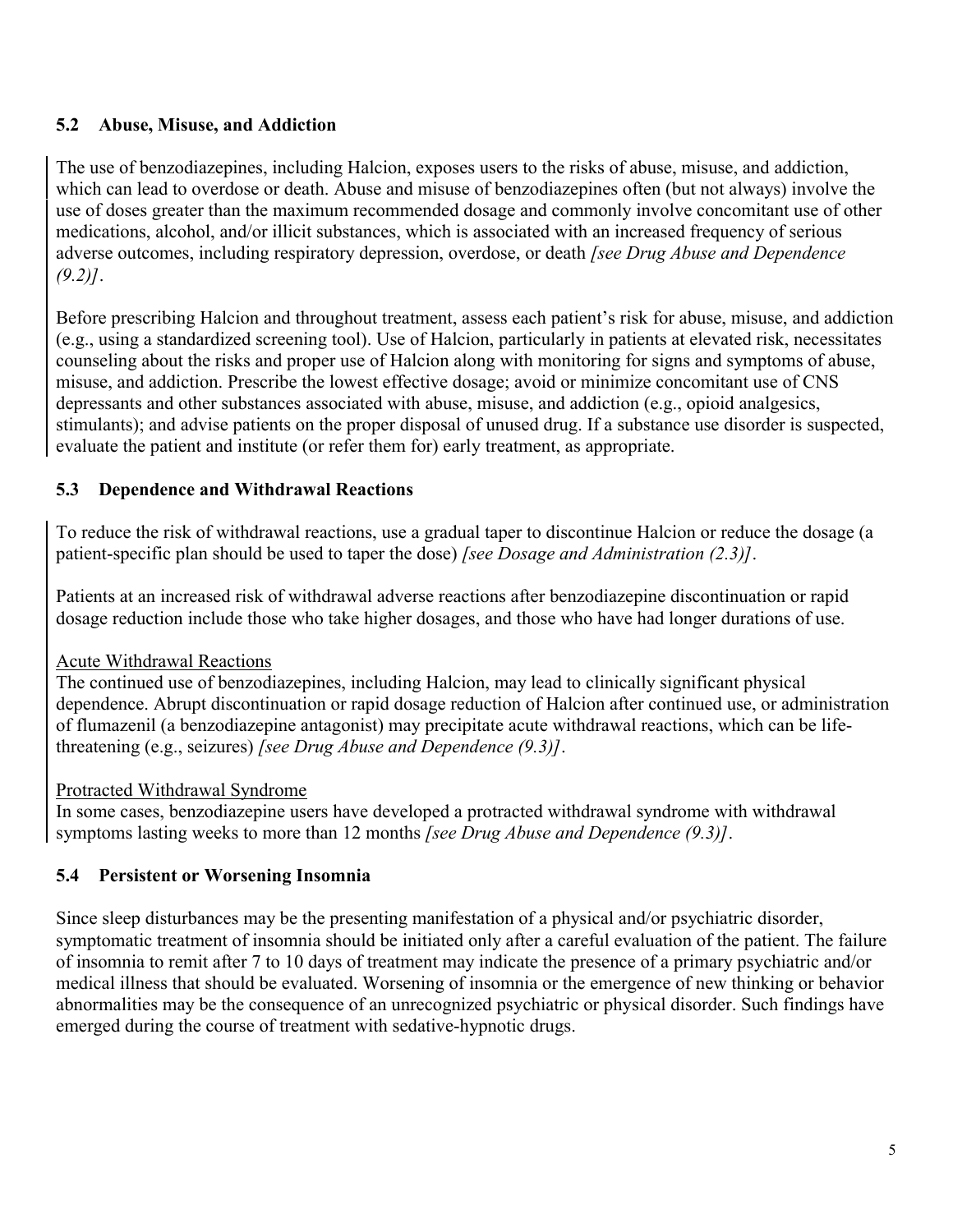## **5.2 Abuse, Misuse, and Addiction**

The use of benzodiazepines, including Halcion, exposes users to the risks of abuse, misuse, and addiction, which can lead to overdose or death. Abuse and misuse of benzodiazepines often (but not always) involve the use of doses greater than the maximum recommended dosage and commonly involve concomitant use of other medications, alcohol, and/or illicit substances, which is associated with an increased frequency of serious adverse outcomes, including respiratory depression, overdose, or death *[see Drug Abuse and Dependence (9.2)]*.

Before prescribing Halcion and throughout treatment, assess each patient's risk for abuse, misuse, and addiction (e.g., using a standardized screening tool). Use of Halcion, particularly in patients at elevated risk, necessitates counseling about the risks and proper use of Halcion along with monitoring for signs and symptoms of abuse, misuse, and addiction. Prescribe the lowest effective dosage; avoid or minimize concomitant use of CNS depressants and other substances associated with abuse, misuse, and addiction (e.g., opioid analgesics, stimulants); and advise patients on the proper disposal of unused drug. If a substance use disorder is suspected, evaluate the patient and institute (or refer them for) early treatment, as appropriate.

## **5.3 Dependence and Withdrawal Reactions**

To reduce the risk of withdrawal reactions, use a gradual taper to discontinue Halcion or reduce the dosage (a patient-specific plan should be used to taper the dose) *[see Dosage and Administration (2.3)]*.

Patients at an increased risk of withdrawal adverse reactions after benzodiazepine discontinuation or rapid dosage reduction include those who take higher dosages, and those who have had longer durations of use.

## Acute Withdrawal Reactions

The continued use of benzodiazepines, including Halcion, may lead to clinically significant physical dependence. Abrupt discontinuation or rapid dosage reduction of Halcion after continued use, or administration of flumazenil (a benzodiazepine antagonist) may precipitate acute withdrawal reactions, which can be lifethreatening (e.g., seizures) *[see Drug Abuse and Dependence (9.3)]*.

## Protracted Withdrawal Syndrome

In some cases, benzodiazepine users have developed a protracted withdrawal syndrome with withdrawal symptoms lasting weeks to more than 12 months *[see Drug Abuse and Dependence (9.3)]*.

## **5.4 Persistent or Worsening Insomnia**

Since sleep disturbances may be the presenting manifestation of a physical and/or psychiatric disorder, symptomatic treatment of insomnia should be initiated only after a careful evaluation of the patient. The failure of insomnia to remit after 7 to 10 days of treatment may indicate the presence of a primary psychiatric and/or medical illness that should be evaluated. Worsening of insomnia or the emergence of new thinking or behavior abnormalities may be the consequence of an unrecognized psychiatric or physical disorder. Such findings have emerged during the course of treatment with sedative-hypnotic drugs.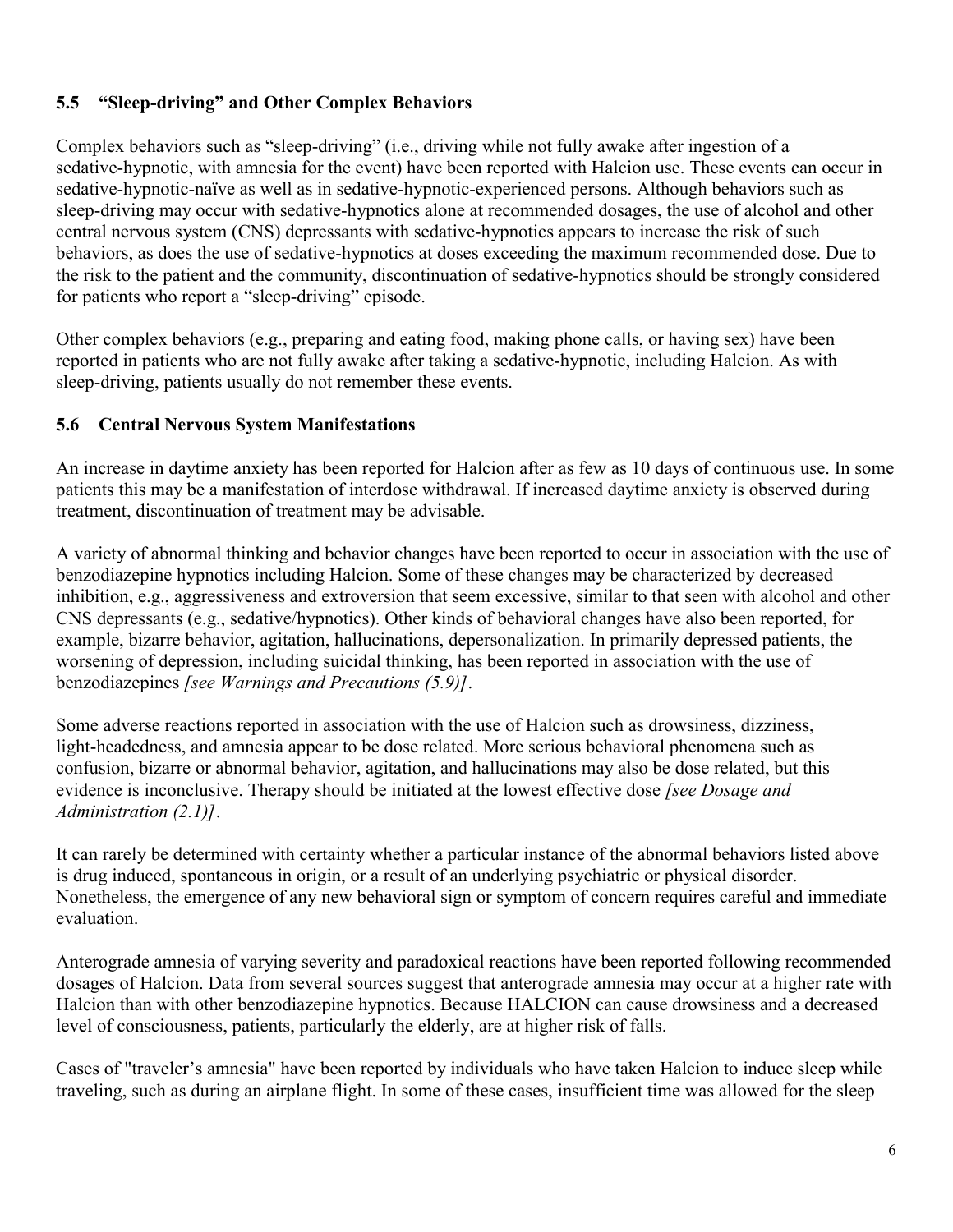## **5.5 "Sleep-driving" and Other Complex Behaviors**

Complex behaviors such as "sleep-driving" (i.e., driving while not fully awake after ingestion of a sedative-hypnotic, with amnesia for the event) have been reported with Halcion use. These events can occur in sedative-hypnotic-naïve as well as in sedative-hypnotic-experienced persons. Although behaviors such as sleep-driving may occur with sedative-hypnotics alone at recommended dosages, the use of alcohol and other central nervous system (CNS) depressants with sedative-hypnotics appears to increase the risk of such behaviors, as does the use of sedative-hypnotics at doses exceeding the maximum recommended dose. Due to the risk to the patient and the community, discontinuation of sedative-hypnotics should be strongly considered for patients who report a "sleep-driving" episode.

Other complex behaviors (e.g., preparing and eating food, making phone calls, or having sex) have been reported in patients who are not fully awake after taking a sedative-hypnotic, including Halcion. As with sleep-driving, patients usually do not remember these events.

## **5.6 Central Nervous System Manifestations**

An increase in daytime anxiety has been reported for Halcion after as few as 10 days of continuous use. In some patients this may be a manifestation of interdose withdrawal. If increased daytime anxiety is observed during treatment, discontinuation of treatment may be advisable.

A variety of abnormal thinking and behavior changes have been reported to occur in association with the use of benzodiazepine hypnotics including Halcion. Some of these changes may be characterized by decreased inhibition, e.g., aggressiveness and extroversion that seem excessive, similar to that seen with alcohol and other CNS depressants (e.g., sedative/hypnotics). Other kinds of behavioral changes have also been reported, for example, bizarre behavior, agitation, hallucinations, depersonalization. In primarily depressed patients, the worsening of depression, including suicidal thinking, has been reported in association with the use of benzodiazepines *[see Warnings and Precautions (5.9)]*.

Some adverse reactions reported in association with the use of Halcion such as drowsiness, dizziness, light-headedness, and amnesia appear to be dose related. More serious behavioral phenomena such as confusion, bizarre or abnormal behavior, agitation, and hallucinations may also be dose related, but this evidence is inconclusive. Therapy should be initiated at the lowest effective dose *[see Dosage and Administration (2.1)]*.

It can rarely be determined with certainty whether a particular instance of the abnormal behaviors listed above is drug induced, spontaneous in origin, or a result of an underlying psychiatric or physical disorder. Nonetheless, the emergence of any new behavioral sign or symptom of concern requires careful and immediate evaluation.

Anterograde amnesia of varying severity and paradoxical reactions have been reported following recommended dosages of Halcion. Data from several sources suggest that anterograde amnesia may occur at a higher rate with Halcion than with other benzodiazepine hypnotics. Because HALCION can cause drowsiness and a decreased level of consciousness, patients, particularly the elderly, are at higher risk of falls.

Cases of "traveler's amnesia" have been reported by individuals who have taken Halcion to induce sleep while traveling, such as during an airplane flight. In some of these cases, insufficient time was allowed for the sleep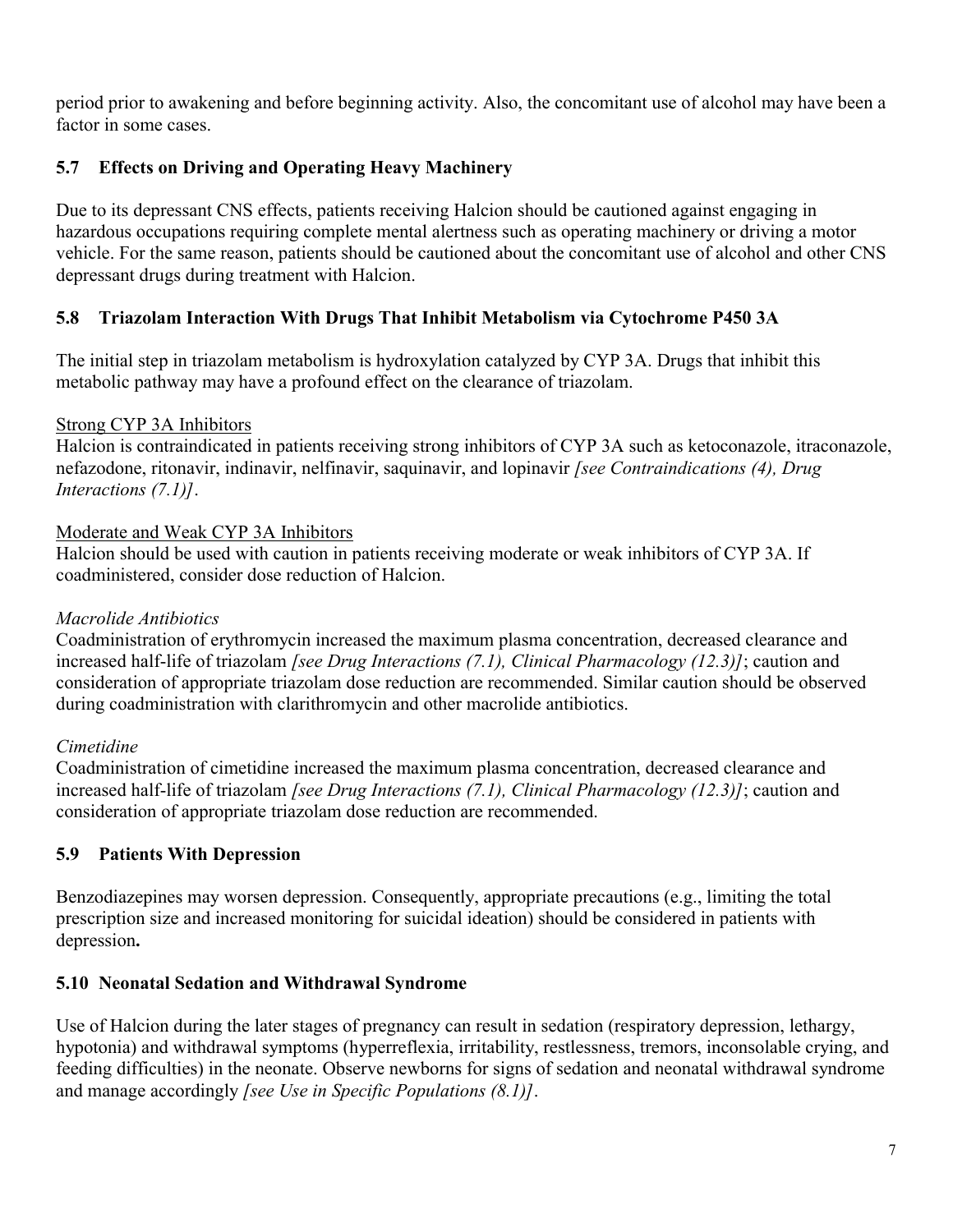period prior to awakening and before beginning activity. Also, the concomitant use of alcohol may have been a factor in some cases.

## **5.7 Effects on Driving and Operating Heavy Machinery**

Due to its depressant CNS effects, patients receiving Halcion should be cautioned against engaging in hazardous occupations requiring complete mental alertness such as operating machinery or driving a motor vehicle. For the same reason, patients should be cautioned about the concomitant use of alcohol and other CNS depressant drugs during treatment with Halcion.

## **5.8 Triazolam Interaction With Drugs That Inhibit Metabolism via Cytochrome P450 3A**

The initial step in triazolam metabolism is hydroxylation catalyzed by CYP 3A. Drugs that inhibit this metabolic pathway may have a profound effect on the clearance of triazolam.

## Strong CYP 3A Inhibitors

Halcion is contraindicated in patients receiving strong inhibitors of CYP 3A such as ketoconazole, itraconazole, nefazodone, ritonavir, indinavir, nelfinavir, saquinavir, and lopinavir *[see Contraindications (4), Drug Interactions (7.1)]*.

## Moderate and Weak CYP 3A Inhibitors

Halcion should be used with caution in patients receiving moderate or weak inhibitors of CYP 3A. If coadministered, consider dose reduction of Halcion.

## *Macrolide Antibiotics*

Coadministration of erythromycin increased the maximum plasma concentration, decreased clearance and increased half-life of triazolam *[see Drug Interactions (7.1), Clinical Pharmacology (12.3)]*; caution and consideration of appropriate triazolam dose reduction are recommended. Similar caution should be observed during coadministration with clarithromycin and other macrolide antibiotics.

## *Cimetidine*

Coadministration of cimetidine increased the maximum plasma concentration, decreased clearance and increased half-life of triazolam *[see Drug Interactions (7.1), Clinical Pharmacology (12.3)]*; caution and consideration of appropriate triazolam dose reduction are recommended.

## **5.9 Patients With Depression**

Benzodiazepines may worsen depression. Consequently, appropriate precautions (e.g., limiting the total prescription size and increased monitoring for suicidal ideation) should be considered in patients with depression**.**

## **5.10 Neonatal Sedation and Withdrawal Syndrome**

Use of Halcion during the later stages of pregnancy can result in sedation (respiratory depression, lethargy, hypotonia) and withdrawal symptoms (hyperreflexia, irritability, restlessness, tremors, inconsolable crying, and feeding difficulties) in the neonate. Observe newborns for signs of sedation and neonatal withdrawal syndrome and manage accordingly *[see Use in Specific Populations (8.1)]*.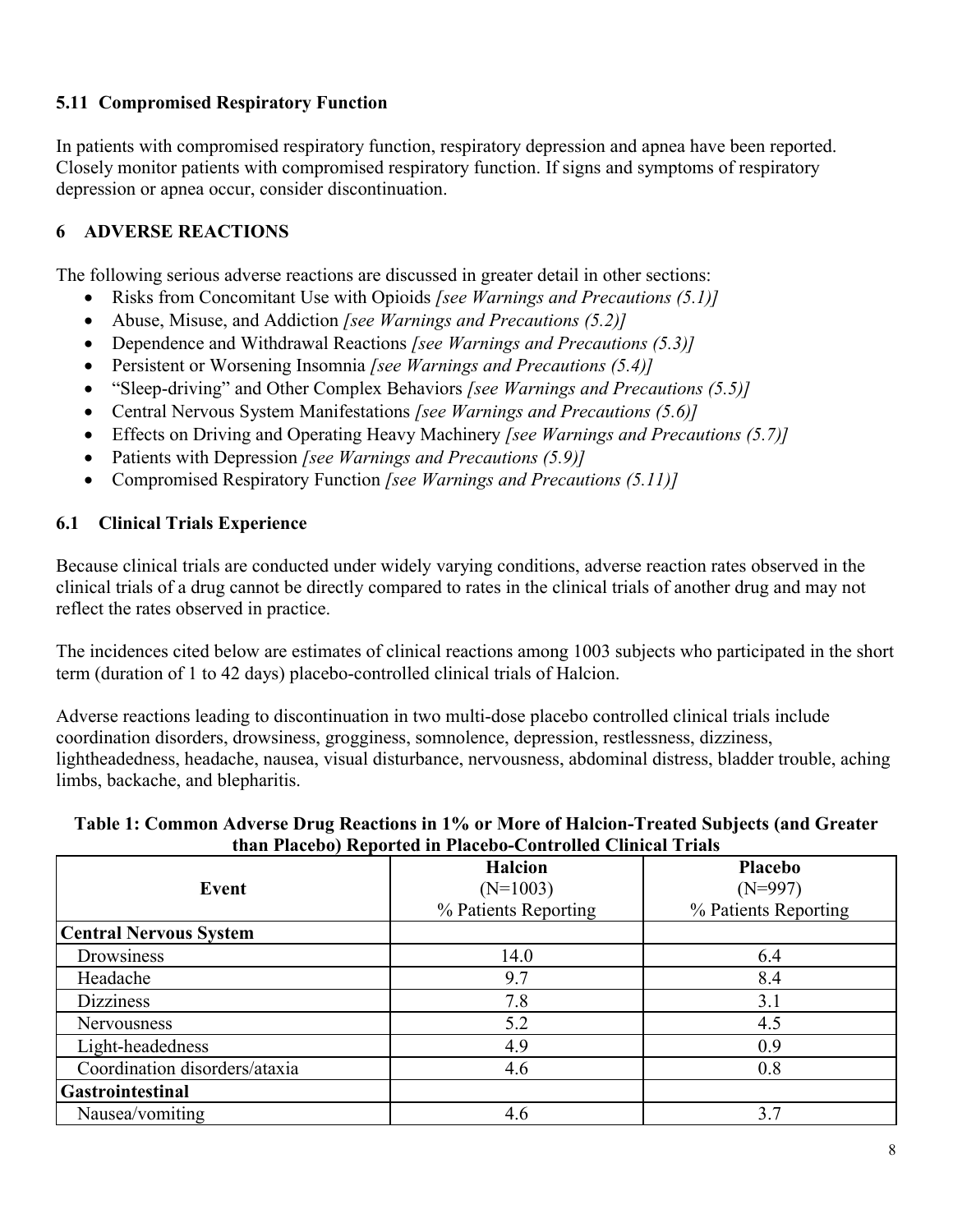## **5.11 Compromised Respiratory Function**

In patients with compromised respiratory function, respiratory depression and apnea have been reported. Closely monitor patients with compromised respiratory function. If signs and symptoms of respiratory depression or apnea occur, consider discontinuation.

## **6 ADVERSE REACTIONS**

The following serious adverse reactions are discussed in greater detail in other sections:

- Risks from Concomitant Use with Opioids *[see Warnings and Precautions (5.1)]*
- Abuse, Misuse, and Addiction *[see Warnings and Precautions (5.2)]*
- Dependence and Withdrawal Reactions *[see Warnings and Precautions (5.3)]*
- Persistent or Worsening Insomnia *[see Warnings and Precautions (5.4)]*
- "Sleep-driving" and Other Complex Behaviors *[see Warnings and Precautions (5.5)]*
- Central Nervous System Manifestations *[see Warnings and Precautions (5.6)]*
- Effects on Driving and Operating Heavy Machinery *[see Warnings and Precautions (5.7)]*
- Patients with Depression *[see Warnings and Precautions (5.9)]*
- Compromised Respiratory Function *[see Warnings and Precautions (5.11)]*

## **6.1 Clinical Trials Experience**

Because clinical trials are conducted under widely varying conditions, adverse reaction rates observed in the clinical trials of a drug cannot be directly compared to rates in the clinical trials of another drug and may not reflect the rates observed in practice.

The incidences cited below are estimates of clinical reactions among 1003 subjects who participated in the short term (duration of 1 to 42 days) placebo-controlled clinical trials of Halcion.

Adverse reactions leading to discontinuation in two multi-dose placebo controlled clinical trials include coordination disorders, drowsiness, grogginess, somnolence, depression, restlessness, dizziness, lightheadedness, headache, nausea, visual disturbance, nervousness, abdominal distress, bladder trouble, aching limbs, backache, and blepharitis.

#### **Table 1: Common Adverse Drug Reactions in 1% or More of Halcion-Treated Subjects (and Greater than Placebo) Reported in Placebo-Controlled Clinical Trials**

| Event                         | <b>Halcion</b><br>$(N=1003)$ | <b>Placebo</b><br>$(N=997)$ |  |
|-------------------------------|------------------------------|-----------------------------|--|
|                               | % Patients Reporting         | % Patients Reporting        |  |
| <b>Central Nervous System</b> |                              |                             |  |
| Drowsiness                    | 14.0                         | 6.4                         |  |
| Headache                      | 9.7                          | 8.4                         |  |
| <b>Dizziness</b>              | 7.8                          | 3.1                         |  |
| <b>Nervousness</b>            | 5.2                          | 4.5                         |  |
| Light-headedness              | 4.9                          | 0.9                         |  |
| Coordination disorders/ataxia | 4.6                          | 0.8                         |  |
| Gastrointestinal              |                              |                             |  |
| Nausea/vomiting               | 4.6                          | 3.7                         |  |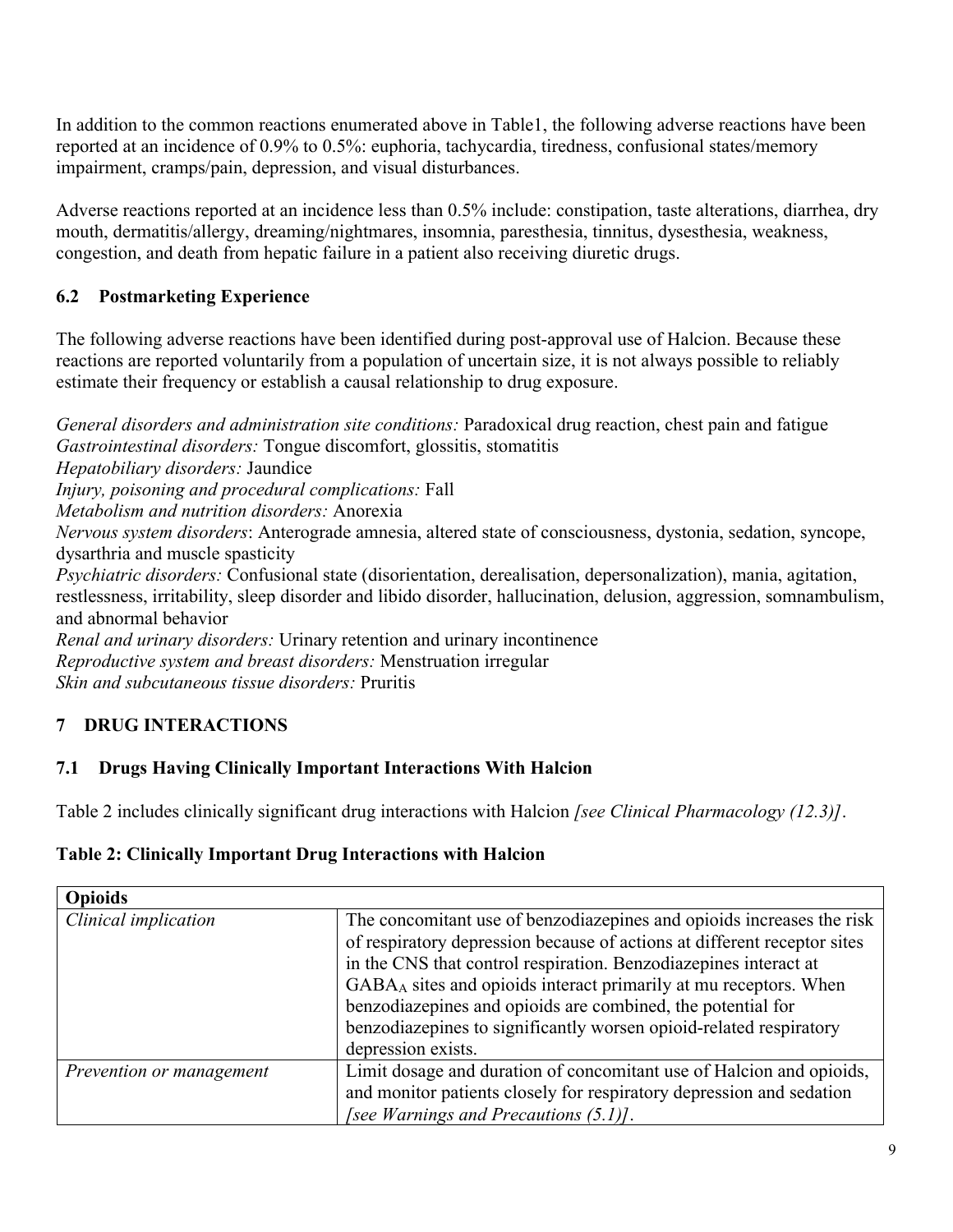In addition to the common reactions enumerated above in Table1, the following adverse reactions have been reported at an incidence of 0.9% to 0.5%: euphoria, tachycardia, tiredness, confusional states/memory impairment, cramps/pain, depression, and visual disturbances.

Adverse reactions reported at an incidence less than 0.5% include: constipation, taste alterations, diarrhea, dry mouth, dermatitis/allergy, dreaming/nightmares, insomnia, paresthesia, tinnitus, dysesthesia, weakness, congestion, and death from hepatic failure in a patient also receiving diuretic drugs.

# **6.2 Postmarketing Experience**

The following adverse reactions have been identified during post-approval use of Halcion. Because these reactions are reported voluntarily from a population of uncertain size, it is not always possible to reliably estimate their frequency or establish a causal relationship to drug exposure.

*General disorders and administration site conditions:* Paradoxical drug reaction, chest pain and fatigue *Gastrointestinal disorders:* Tongue discomfort, glossitis, stomatitis *Hepatobiliary disorders:* Jaundice *Injury, poisoning and procedural complications:* Fall *Metabolism and nutrition disorders:* Anorexia *Nervous system disorders*: Anterograde amnesia, altered state of consciousness, dystonia, sedation, syncope, dysarthria and muscle spasticity *Psychiatric disorders:* Confusional state (disorientation, derealisation, depersonalization), mania, agitation, restlessness, irritability, sleep disorder and libido disorder, hallucination, delusion, aggression, somnambulism, and abnormal behavior *Renal and urinary disorders:* Urinary retention and urinary incontinence *Reproductive system and breast disorders:* Menstruation irregular *Skin and subcutaneous tissue disorders:* Pruritis

# **7 DRUG INTERACTIONS**

# **7.1 Drugs Having Clinically Important Interactions With Halcion**

Table 2 includes clinically significant drug interactions with Halcion *[see Clinical Pharmacology (12.3)]*.

## **Table 2: Clinically Important Drug Interactions with Halcion**

| <b>Opioids</b>           |                                                                          |  |  |
|--------------------------|--------------------------------------------------------------------------|--|--|
| Clinical implication     | The concomitant use of benzodiazepines and opioids increases the risk    |  |  |
|                          | of respiratory depression because of actions at different receptor sites |  |  |
|                          | in the CNS that control respiration. Benzodiazepines interact at         |  |  |
|                          | GABAA sites and opioids interact primarily at mu receptors. When         |  |  |
|                          | benzodiazepines and opioids are combined, the potential for              |  |  |
|                          | benzodiazepines to significantly worsen opioid-related respiratory       |  |  |
|                          | depression exists.                                                       |  |  |
| Prevention or management | Limit dosage and duration of concomitant use of Halcion and opioids,     |  |  |
|                          | and monitor patients closely for respiratory depression and sedation     |  |  |
|                          | [see Warnings and Precautions (5.1)].                                    |  |  |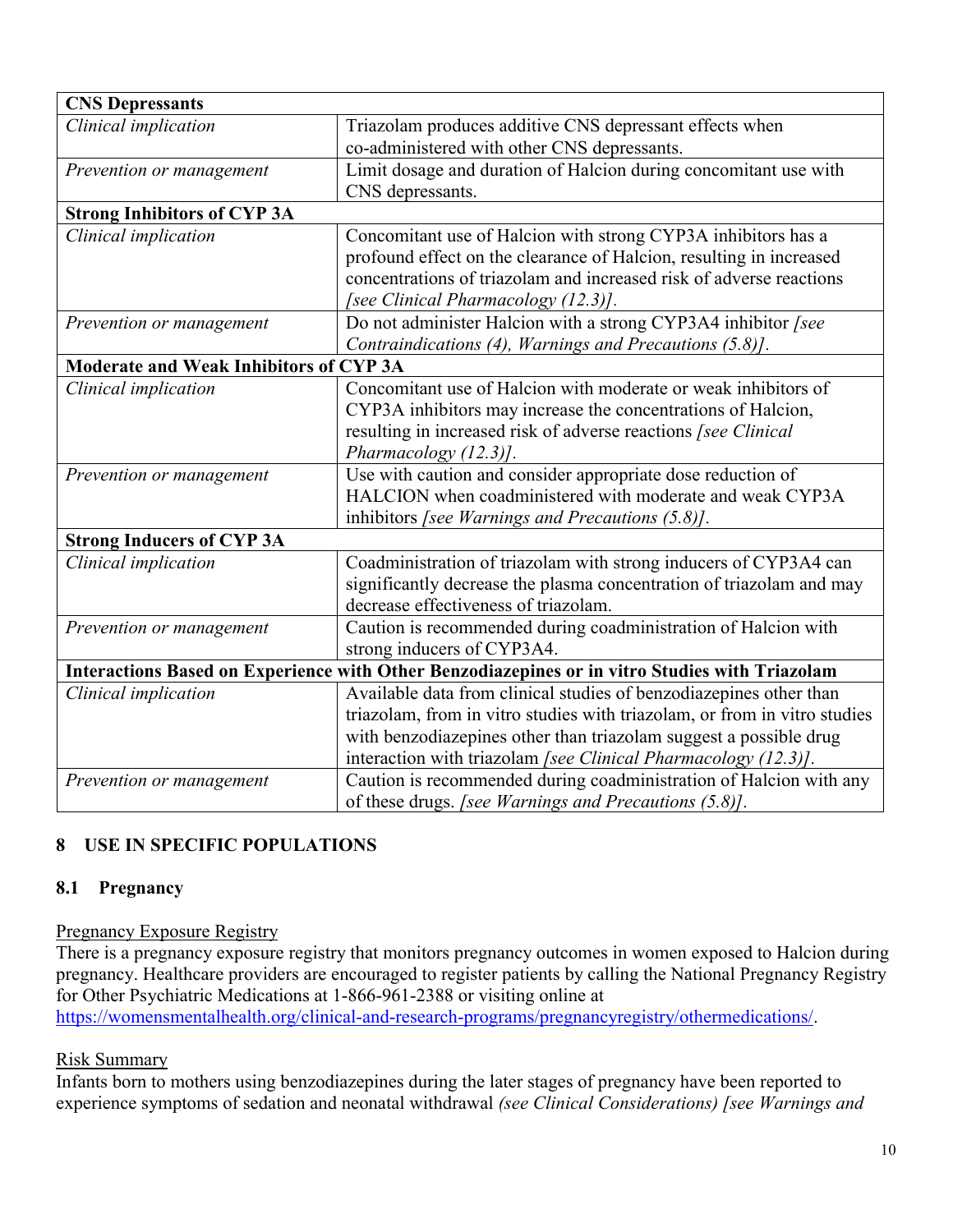| <b>CNS Depressants</b>                                                                         |                                                                           |  |  |  |
|------------------------------------------------------------------------------------------------|---------------------------------------------------------------------------|--|--|--|
| Clinical implication                                                                           | Triazolam produces additive CNS depressant effects when                   |  |  |  |
|                                                                                                | co-administered with other CNS depressants.                               |  |  |  |
| Prevention or management                                                                       | Limit dosage and duration of Halcion during concomitant use with          |  |  |  |
|                                                                                                | CNS depressants.                                                          |  |  |  |
| <b>Strong Inhibitors of CYP 3A</b>                                                             |                                                                           |  |  |  |
| Clinical implication                                                                           | Concomitant use of Halcion with strong CYP3A inhibitors has a             |  |  |  |
|                                                                                                | profound effect on the clearance of Halcion, resulting in increased       |  |  |  |
|                                                                                                | concentrations of triazolam and increased risk of adverse reactions       |  |  |  |
|                                                                                                | [see Clinical Pharmacology (12.3)].                                       |  |  |  |
| Prevention or management                                                                       | Do not administer Halcion with a strong CYP3A4 inhibitor [see             |  |  |  |
|                                                                                                | Contraindications (4), Warnings and Precautions (5.8)].                   |  |  |  |
| Moderate and Weak Inhibitors of CYP 3A                                                         |                                                                           |  |  |  |
| Clinical implication                                                                           | Concomitant use of Halcion with moderate or weak inhibitors of            |  |  |  |
|                                                                                                | CYP3A inhibitors may increase the concentrations of Halcion,              |  |  |  |
|                                                                                                | resulting in increased risk of adverse reactions [see Clinical            |  |  |  |
|                                                                                                | Pharmacology (12.3)].                                                     |  |  |  |
| Prevention or management                                                                       | Use with caution and consider appropriate dose reduction of               |  |  |  |
|                                                                                                | HALCION when coadministered with moderate and weak CYP3A                  |  |  |  |
|                                                                                                | inhibitors [see Warnings and Precautions (5.8)].                          |  |  |  |
| <b>Strong Inducers of CYP 3A</b>                                                               |                                                                           |  |  |  |
| Clinical implication                                                                           | Coadministration of triazolam with strong inducers of CYP3A4 can          |  |  |  |
|                                                                                                | significantly decrease the plasma concentration of triazolam and may      |  |  |  |
|                                                                                                | decrease effectiveness of triazolam.                                      |  |  |  |
| Prevention or management                                                                       | Caution is recommended during coadministration of Halcion with            |  |  |  |
|                                                                                                | strong inducers of CYP3A4.                                                |  |  |  |
| Interactions Based on Experience with Other Benzodiazepines or in vitro Studies with Triazolam |                                                                           |  |  |  |
| Clinical implication                                                                           | Available data from clinical studies of benzodiazepines other than        |  |  |  |
|                                                                                                | triazolam, from in vitro studies with triazolam, or from in vitro studies |  |  |  |
|                                                                                                | with benzodiazepines other than triazolam suggest a possible drug         |  |  |  |
|                                                                                                | interaction with triazolam [see Clinical Pharmacology (12.3)].            |  |  |  |
| Prevention or management                                                                       | Caution is recommended during coadministration of Halcion with any        |  |  |  |
|                                                                                                | of these drugs. [see Warnings and Precautions (5.8)].                     |  |  |  |

# **8 USE IN SPECIFIC POPULATIONS**

# **8.1 Pregnancy**

Pregnancy Exposure Registry

There is a pregnancy exposure registry that monitors pregnancy outcomes in women exposed to Halcion during pregnancy. Healthcare providers are encouraged to register patients by calling the National Pregnancy Registry for Other Psychiatric Medications at 1-866-961-2388 or visiting online at [https://womensmentalhealth.org/clinical-and-research-programs/pregnancyregistry/othermedications/.](https://womensmentalhealth.org/clinical-and-research-programs/pregnancyregistry/othermedications/)

## Risk Summary

Infants born to mothers using benzodiazepines during the later stages of pregnancy have been reported to experience symptoms of sedation and neonatal withdrawal *(see Clinical Considerations) [see Warnings and*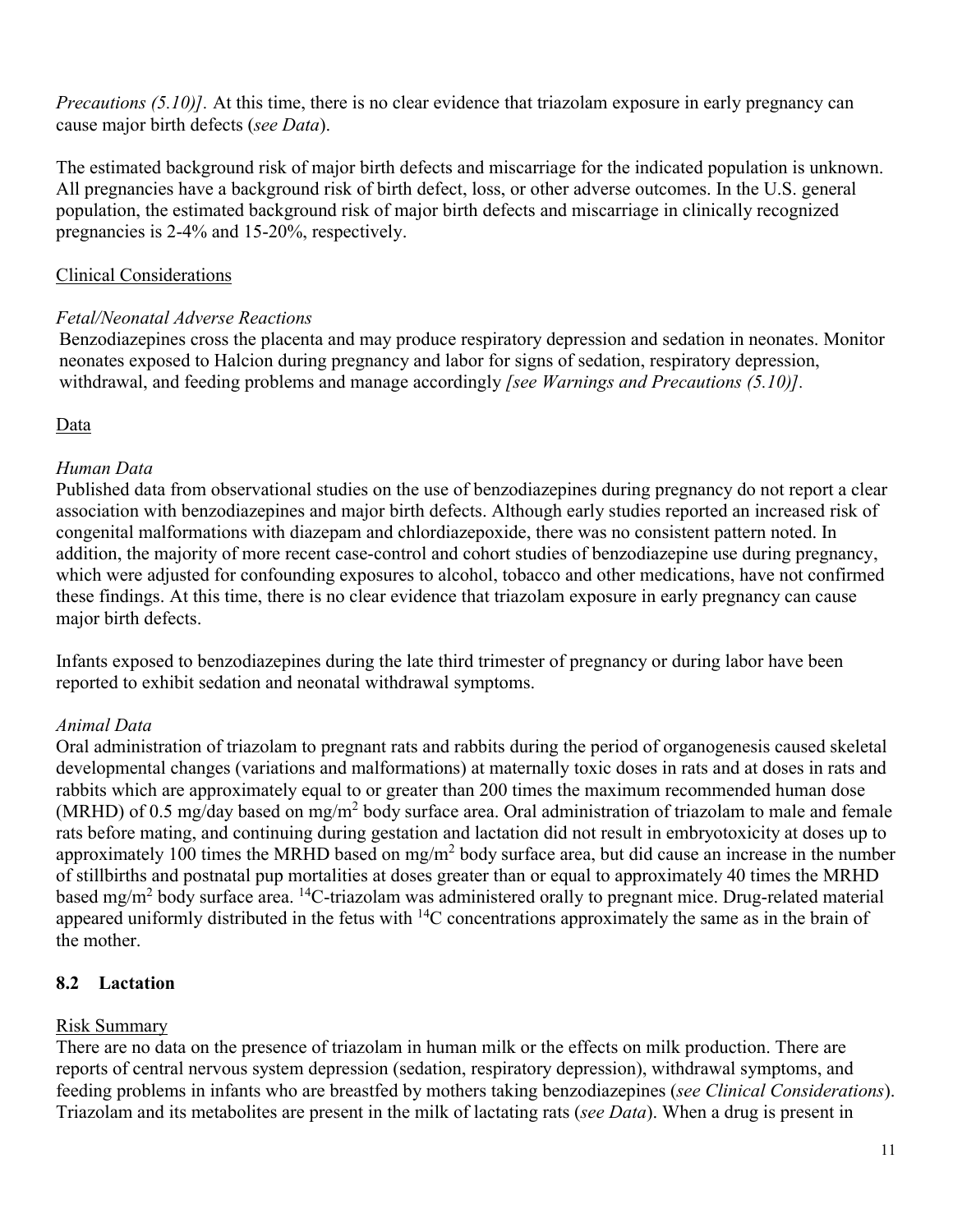*Precautions (5.10)].* At this time, there is no clear evidence that triazolam exposure in early pregnancy can cause major birth defects (*see Data*).

The estimated background risk of major birth defects and miscarriage for the indicated population is unknown. All pregnancies have a background risk of birth defect, loss, or other adverse outcomes. In the U.S. general population, the estimated background risk of major birth defects and miscarriage in clinically recognized pregnancies is 2-4% and 15-20%, respectively.

#### Clinical Considerations

#### *Fetal/Neonatal Adverse Reactions*

Benzodiazepines cross the placenta and may produce respiratory depression and sedation in neonates. Monitor neonates exposed to Halcion during pregnancy and labor for signs of sedation, respiratory depression, withdrawal, and feeding problems and manage accordingly *[see Warnings and Precautions (5.10)].*

#### Data

## *Human Data*

Published data from observational studies on the use of benzodiazepines during pregnancy do not report a clear association with benzodiazepines and major birth defects. Although early studies reported an increased risk of congenital malformations with diazepam and chlordiazepoxide, there was no consistent pattern noted. In addition, the majority of more recent case-control and cohort studies of benzodiazepine use during pregnancy, which were adjusted for confounding exposures to alcohol, tobacco and other medications, have not confirmed these findings. At this time, there is no clear evidence that triazolam exposure in early pregnancy can cause major birth defects.

Infants exposed to benzodiazepines during the late third trimester of pregnancy or during labor have been reported to exhibit sedation and neonatal withdrawal symptoms.

## *Animal Data*

Oral administration of triazolam to pregnant rats and rabbits during the period of organogenesis caused skeletal developmental changes (variations and malformations) at maternally toxic doses in rats and at doses in rats and rabbits which are approximately equal to or greater than 200 times the maximum recommended human dose (MRHD) of 0.5 mg/day based on mg/m<sup>2</sup> body surface area. Oral administration of triazolam to male and female rats before mating, and continuing during gestation and lactation did not result in embryotoxicity at doses up to approximately 100 times the MRHD based on mg/m<sup>2</sup> body surface area, but did cause an increase in the number of stillbirths and postnatal pup mortalities at doses greater than or equal to approximately 40 times the MRHD based mg/m<sup>2</sup> body surface area. <sup>14</sup>C-triazolam was administered orally to pregnant mice. Drug-related material appeared uniformly distributed in the fetus with  $^{14}$ C concentrations approximately the same as in the brain of the mother.

## **8.2 Lactation**

## Risk Summary

There are no data on the presence of triazolam in human milk or the effects on milk production. There are reports of central nervous system depression (sedation, respiratory depression), withdrawal symptoms, and feeding problems in infants who are breastfed by mothers taking benzodiazepines (*see Clinical Considerations*). Triazolam and its metabolites are present in the milk of lactating rats (*see Data*). When a drug is present in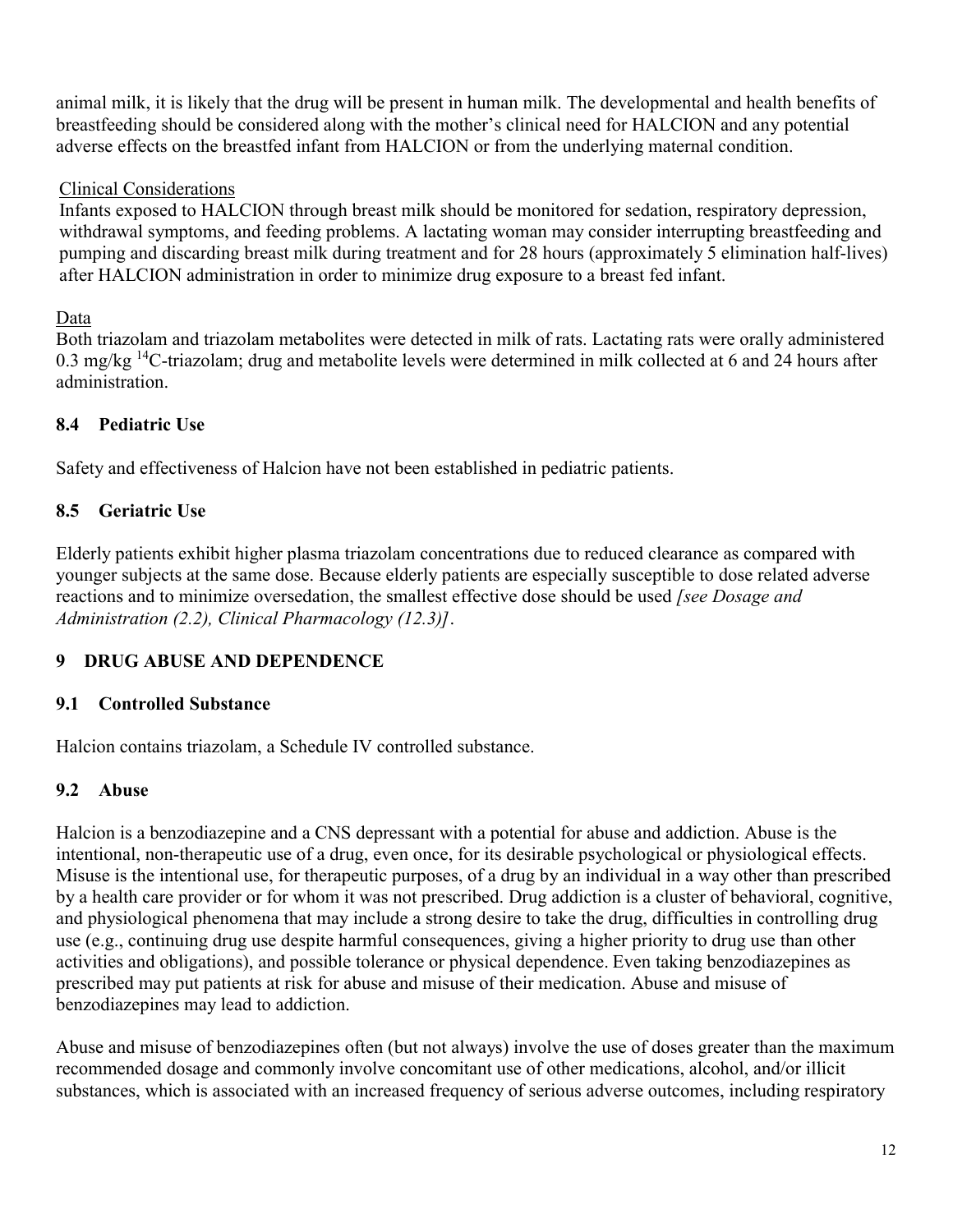animal milk, it is likely that the drug will be present in human milk. The developmental and health benefits of breastfeeding should be considered along with the mother's clinical need for HALCION and any potential adverse effects on the breastfed infant from HALCION or from the underlying maternal condition.

## Clinical Considerations

Infants exposed to HALCION through breast milk should be monitored for sedation, respiratory depression, withdrawal symptoms, and feeding problems. A lactating woman may consider interrupting breastfeeding and pumping and discarding breast milk during treatment and for 28 hours (approximately 5 elimination half-lives) after HALCION administration in order to minimize drug exposure to a breast fed infant.

## Data

Both triazolam and triazolam metabolites were detected in milk of rats. Lactating rats were orally administered 0.3 mg/kg <sup>14</sup>C-triazolam; drug and metabolite levels were determined in milk collected at 6 and 24 hours after administration.

# **8.4 Pediatric Use**

Safety and effectiveness of Halcion have not been established in pediatric patients.

# **8.5 Geriatric Use**

Elderly patients exhibit higher plasma triazolam concentrations due to reduced clearance as compared with younger subjects at the same dose. Because elderly patients are especially susceptible to dose related adverse reactions and to minimize oversedation, the smallest effective dose should be used *[see Dosage and Administration (2.2), Clinical Pharmacology (12.3)]*.

# **9 DRUG ABUSE AND DEPENDENCE**

# **9.1 Controlled Substance**

Halcion contains triazolam, a Schedule IV controlled substance.

## **9.2 Abuse**

Halcion is a benzodiazepine and a CNS depressant with a potential for abuse and addiction. Abuse is the intentional, non-therapeutic use of a drug, even once, for its desirable psychological or physiological effects. Misuse is the intentional use, for therapeutic purposes, of a drug by an individual in a way other than prescribed by a health care provider or for whom it was not prescribed. Drug addiction is a cluster of behavioral, cognitive, and physiological phenomena that may include a strong desire to take the drug, difficulties in controlling drug use (e.g., continuing drug use despite harmful consequences, giving a higher priority to drug use than other activities and obligations), and possible tolerance or physical dependence. Even taking benzodiazepines as prescribed may put patients at risk for abuse and misuse of their medication. Abuse and misuse of benzodiazepines may lead to addiction.

Abuse and misuse of benzodiazepines often (but not always) involve the use of doses greater than the maximum recommended dosage and commonly involve concomitant use of other medications, alcohol, and/or illicit substances, which is associated with an increased frequency of serious adverse outcomes, including respiratory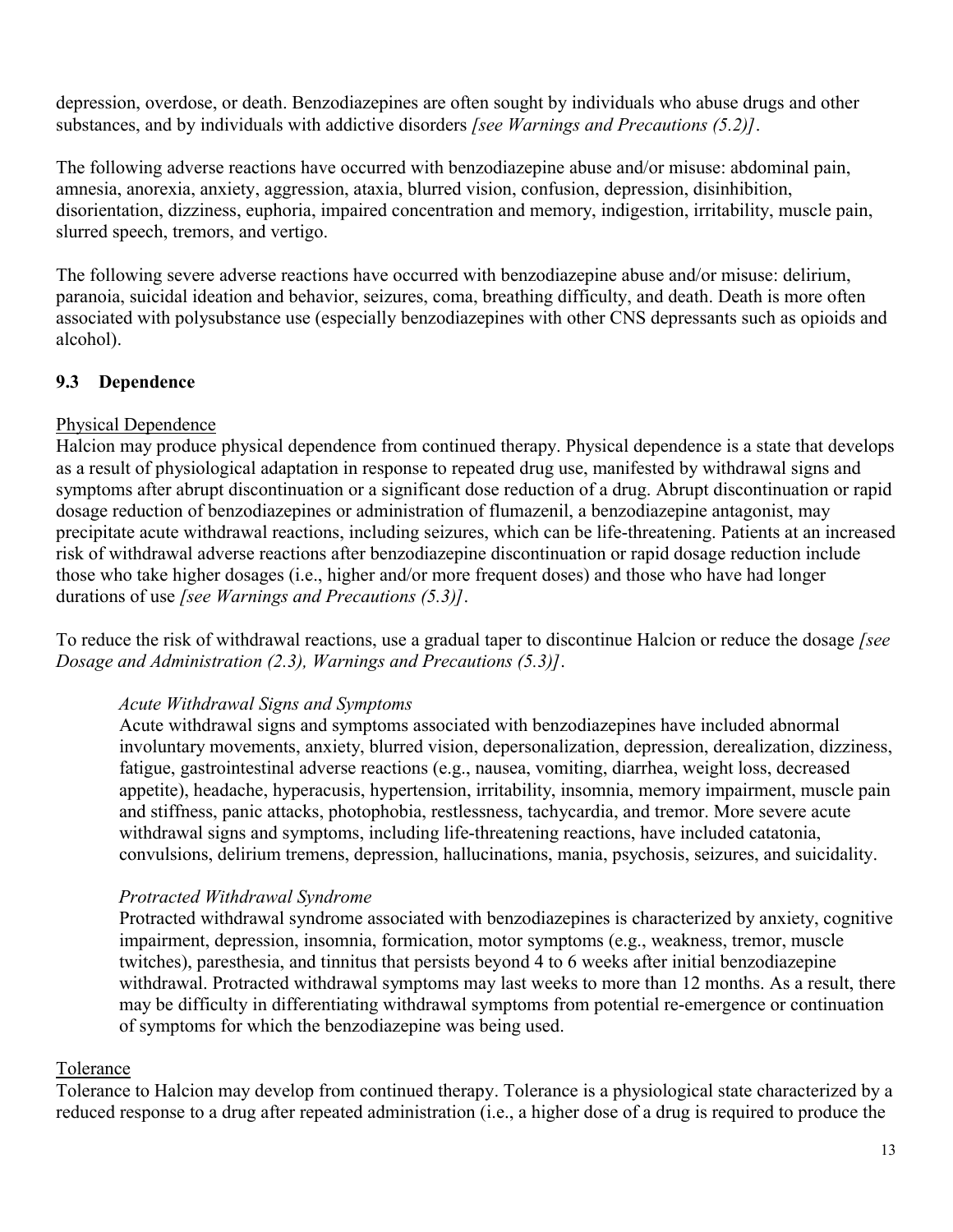depression, overdose, or death. Benzodiazepines are often sought by individuals who abuse drugs and other substances, and by individuals with addictive disorders *[see Warnings and Precautions (5.2)]*.

The following adverse reactions have occurred with benzodiazepine abuse and/or misuse: abdominal pain, amnesia, anorexia, anxiety, aggression, ataxia, blurred vision, confusion, depression, disinhibition, disorientation, dizziness, euphoria, impaired concentration and memory, indigestion, irritability, muscle pain, slurred speech, tremors, and vertigo.

The following severe adverse reactions have occurred with benzodiazepine abuse and/or misuse: delirium, paranoia, suicidal ideation and behavior, seizures, coma, breathing difficulty, and death. Death is more often associated with polysubstance use (especially benzodiazepines with other CNS depressants such as opioids and alcohol).

## **9.3 Dependence**

## Physical Dependence

Halcion may produce physical dependence from continued therapy. Physical dependence is a state that develops as a result of physiological adaptation in response to repeated drug use, manifested by withdrawal signs and symptoms after abrupt discontinuation or a significant dose reduction of a drug. Abrupt discontinuation or rapid dosage reduction of benzodiazepines or administration of flumazenil, a benzodiazepine antagonist, may precipitate acute withdrawal reactions, including seizures, which can be life-threatening. Patients at an increased risk of withdrawal adverse reactions after benzodiazepine discontinuation or rapid dosage reduction include those who take higher dosages (i.e., higher and/or more frequent doses) and those who have had longer durations of use *[see Warnings and Precautions (5.3)]*.

To reduce the risk of withdrawal reactions, use a gradual taper to discontinue Halcion or reduce the dosage *[see Dosage and Administration (2.3), Warnings and Precautions (5.3)]*.

## *Acute Withdrawal Signs and Symptoms*

Acute withdrawal signs and symptoms associated with benzodiazepines have included abnormal involuntary movements, anxiety, blurred vision, depersonalization, depression, derealization, dizziness, fatigue, gastrointestinal adverse reactions (e.g., nausea, vomiting, diarrhea, weight loss, decreased appetite), headache, hyperacusis, hypertension, irritability, insomnia, memory impairment, muscle pain and stiffness, panic attacks, photophobia, restlessness, tachycardia, and tremor. More severe acute withdrawal signs and symptoms, including life-threatening reactions, have included catatonia, convulsions, delirium tremens, depression, hallucinations, mania, psychosis, seizures, and suicidality.

## *Protracted Withdrawal Syndrome*

Protracted withdrawal syndrome associated with benzodiazepines is characterized by anxiety, cognitive impairment, depression, insomnia, formication, motor symptoms (e.g., weakness, tremor, muscle twitches), paresthesia, and tinnitus that persists beyond 4 to 6 weeks after initial benzodiazepine withdrawal. Protracted withdrawal symptoms may last weeks to more than 12 months. As a result, there may be difficulty in differentiating withdrawal symptoms from potential re-emergence or continuation of symptoms for which the benzodiazepine was being used.

## Tolerance

Tolerance to Halcion may develop from continued therapy. Tolerance is a physiological state characterized by a reduced response to a drug after repeated administration (i.e., a higher dose of a drug is required to produce the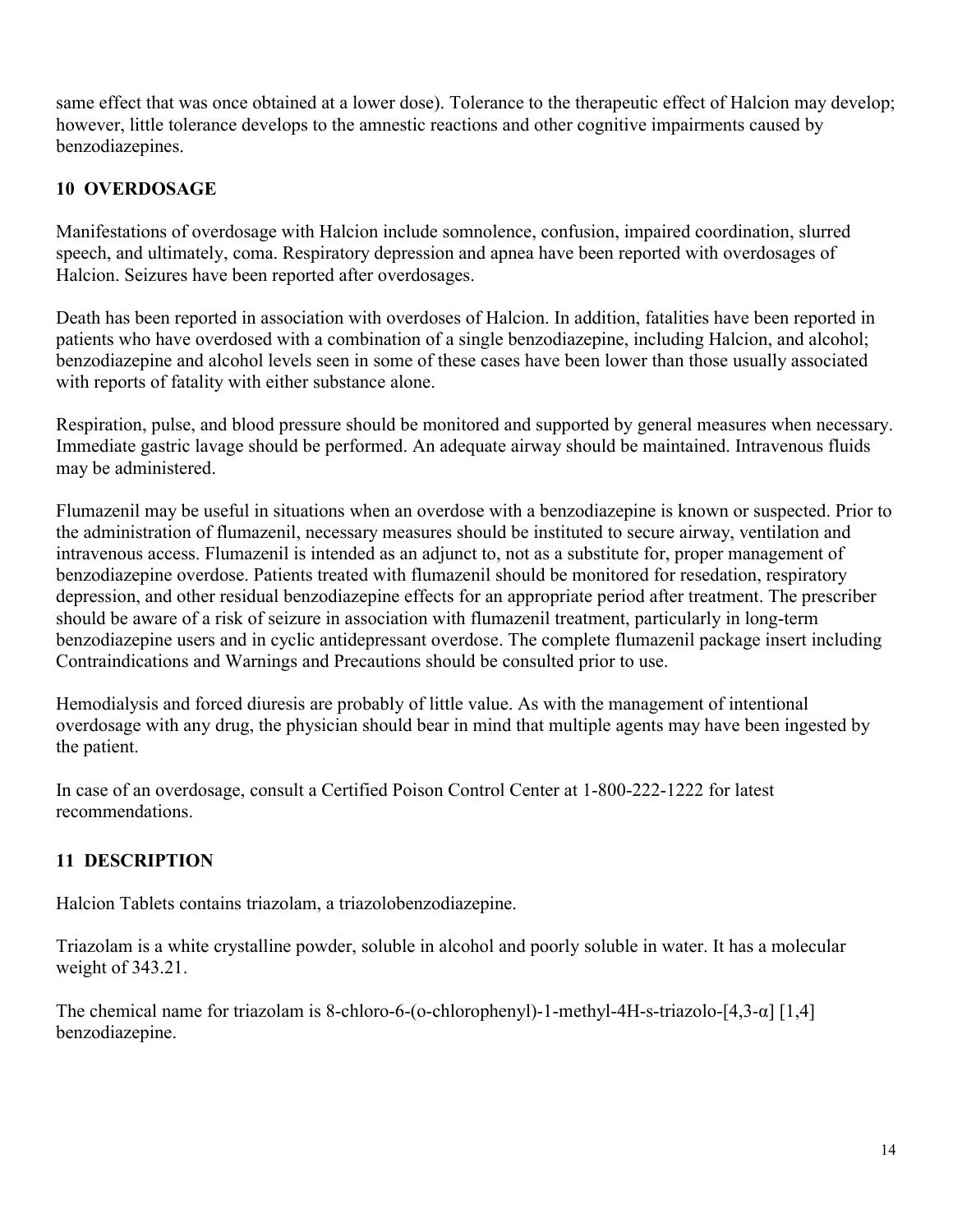same effect that was once obtained at a lower dose). Tolerance to the therapeutic effect of Halcion may develop; however, little tolerance develops to the amnestic reactions and other cognitive impairments caused by benzodiazepines.

## **10 OVERDOSAGE**

Manifestations of overdosage with Halcion include somnolence, confusion, impaired coordination, slurred speech, and ultimately, coma. Respiratory depression and apnea have been reported with overdosages of Halcion. Seizures have been reported after overdosages.

Death has been reported in association with overdoses of Halcion. In addition, fatalities have been reported in patients who have overdosed with a combination of a single benzodiazepine, including Halcion, and alcohol; benzodiazepine and alcohol levels seen in some of these cases have been lower than those usually associated with reports of fatality with either substance alone.

Respiration, pulse, and blood pressure should be monitored and supported by general measures when necessary. Immediate gastric lavage should be performed. An adequate airway should be maintained. Intravenous fluids may be administered.

Flumazenil may be useful in situations when an overdose with a benzodiazepine is known or suspected. Prior to the administration of flumazenil, necessary measures should be instituted to secure airway, ventilation and intravenous access. Flumazenil is intended as an adjunct to, not as a substitute for, proper management of benzodiazepine overdose. Patients treated with flumazenil should be monitored for resedation, respiratory depression, and other residual benzodiazepine effects for an appropriate period after treatment. The prescriber should be aware of a risk of seizure in association with flumazenil treatment, particularly in long-term benzodiazepine users and in cyclic antidepressant overdose. The complete flumazenil package insert including Contraindications and Warnings and Precautions should be consulted prior to use.

Hemodialysis and forced diuresis are probably of little value. As with the management of intentional overdosage with any drug, the physician should bear in mind that multiple agents may have been ingested by the patient.

In case of an overdosage, consult a Certified Poison Control Center at 1-800-222-1222 for latest recommendations.

## **11 DESCRIPTION**

Halcion Tablets contains triazolam, a triazolobenzodiazepine.

Triazolam is a white crystalline powder, soluble in alcohol and poorly soluble in water. It has a molecular weight of 343.21.

The chemical name for triazolam is 8-chloro-6-(o-chlorophenyl)-1-methyl-4H-s-triazolo-[4,3-α] [1,4] benzodiazepine.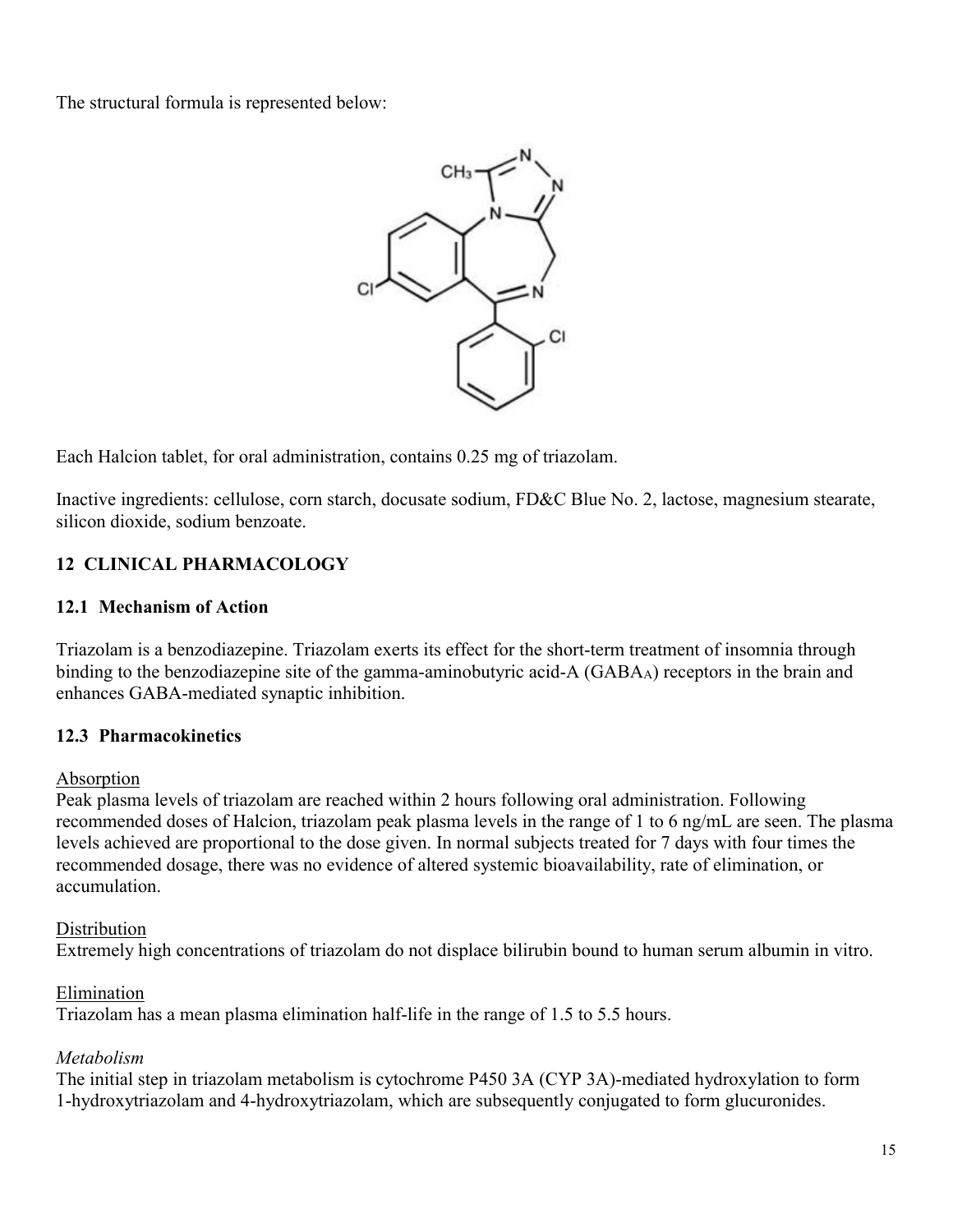The structural formula is represented below:



Each Halcion tablet, for oral administration, contains 0.25 mg of triazolam.

Inactive ingredients: cellulose, corn starch, docusate sodium, FD&C Blue No. 2, lactose, magnesium stearate, silicon dioxide, sodium benzoate.

## **12 CLINICAL PHARMACOLOGY**

#### **12.1 Mechanism of Action**

Triazolam is a benzodiazepine. Triazolam exerts its effect for the short-term treatment of insomnia through binding to the benzodiazepine site of the gamma-aminobutyric acid-A (GABA<sub>A</sub>) receptors in the brain and enhances GABA-mediated synaptic inhibition.

## **12.3 Pharmacokinetics**

#### Absorption

Peak plasma levels of triazolam are reached within 2 hours following oral administration. Following recommended doses of Halcion, triazolam peak plasma levels in the range of 1 to 6 ng/mL are seen. The plasma levels achieved are proportional to the dose given. In normal subjects treated for 7 days with four times the recommended dosage, there was no evidence of altered systemic bioavailability, rate of elimination, or accumulation.

#### **Distribution**

Extremely high concentrations of triazolam do not displace bilirubin bound to human serum albumin in vitro.

#### Elimination

Triazolam has a mean plasma elimination half-life in the range of 1.5 to 5.5 hours.

#### *Metabolism*

The initial step in triazolam metabolism is cytochrome P450 3A (CYP 3A)-mediated hydroxylation to form 1-hydroxytriazolam and 4-hydroxytriazolam, which are subsequently conjugated to form glucuronides.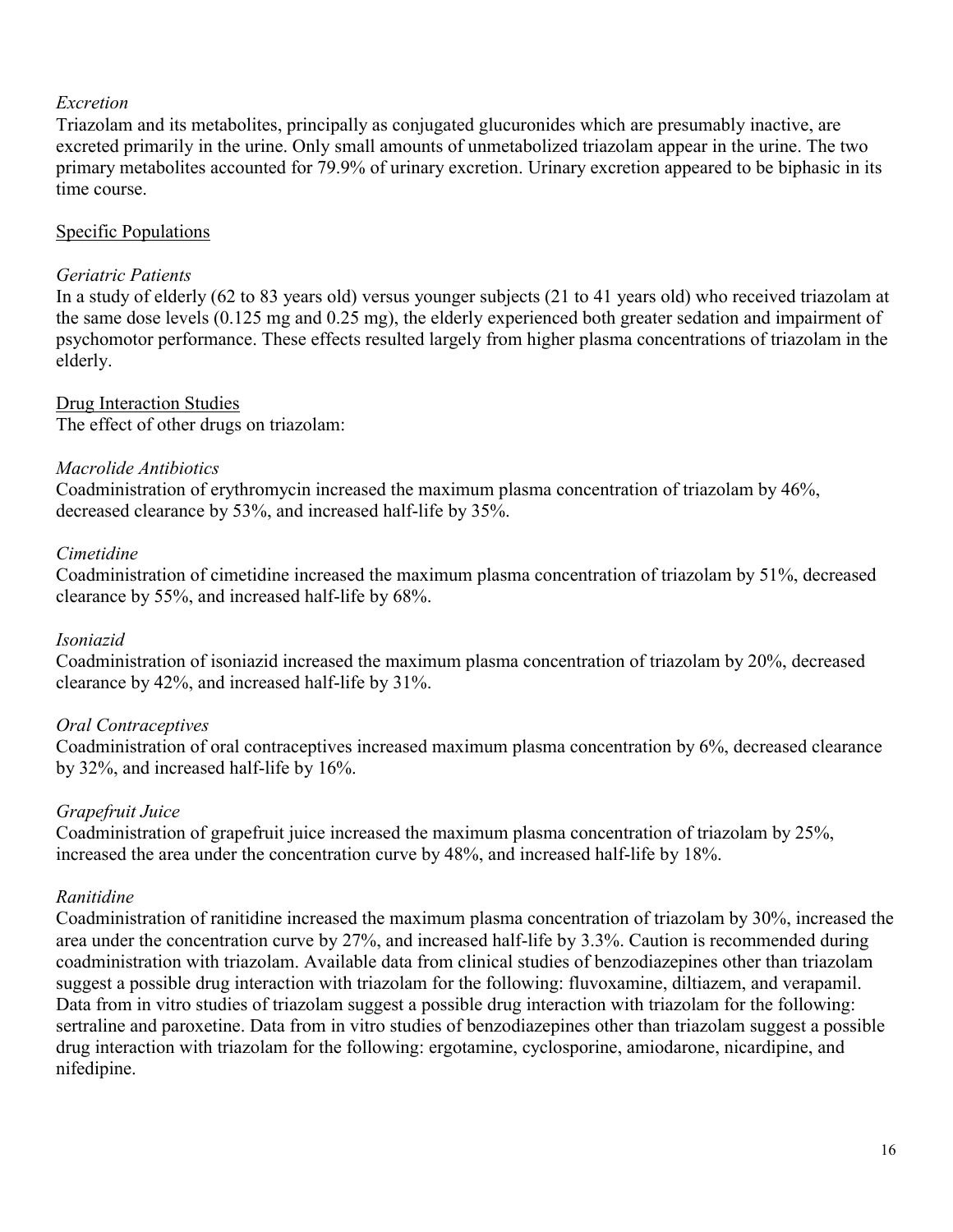#### *Excretion*

Triazolam and its metabolites, principally as conjugated glucuronides which are presumably inactive, are excreted primarily in the urine. Only small amounts of unmetabolized triazolam appear in the urine. The two primary metabolites accounted for 79.9% of urinary excretion. Urinary excretion appeared to be biphasic in its time course.

#### Specific Populations

#### *Geriatric Patients*

In a study of elderly (62 to 83 years old) versus younger subjects (21 to 41 years old) who received triazolam at the same dose levels (0.125 mg and 0.25 mg), the elderly experienced both greater sedation and impairment of psychomotor performance. These effects resulted largely from higher plasma concentrations of triazolam in the elderly.

Drug Interaction Studies The effect of other drugs on triazolam:

#### *Macrolide Antibiotics*

Coadministration of erythromycin increased the maximum plasma concentration of triazolam by 46%, decreased clearance by 53%, and increased half-life by 35%.

#### *Cimetidine*

Coadministration of cimetidine increased the maximum plasma concentration of triazolam by 51%, decreased clearance by 55%, and increased half-life by 68%.

#### *Isoniazid*

Coadministration of isoniazid increased the maximum plasma concentration of triazolam by 20%, decreased clearance by 42%, and increased half-life by 31%.

## *Oral Contraceptives*

Coadministration of oral contraceptives increased maximum plasma concentration by 6%, decreased clearance by 32%, and increased half-life by 16%.

## *Grapefruit Juice*

Coadministration of grapefruit juice increased the maximum plasma concentration of triazolam by 25%, increased the area under the concentration curve by 48%, and increased half-life by 18%.

#### *Ranitidine*

Coadministration of ranitidine increased the maximum plasma concentration of triazolam by 30%, increased the area under the concentration curve by 27%, and increased half-life by 3.3%. Caution is recommended during coadministration with triazolam. Available data from clinical studies of benzodiazepines other than triazolam suggest a possible drug interaction with triazolam for the following: fluvoxamine, diltiazem, and verapamil. Data from in vitro studies of triazolam suggest a possible drug interaction with triazolam for the following: sertraline and paroxetine. Data from in vitro studies of benzodiazepines other than triazolam suggest a possible drug interaction with triazolam for the following: ergotamine, cyclosporine, amiodarone, nicardipine, and nifedipine.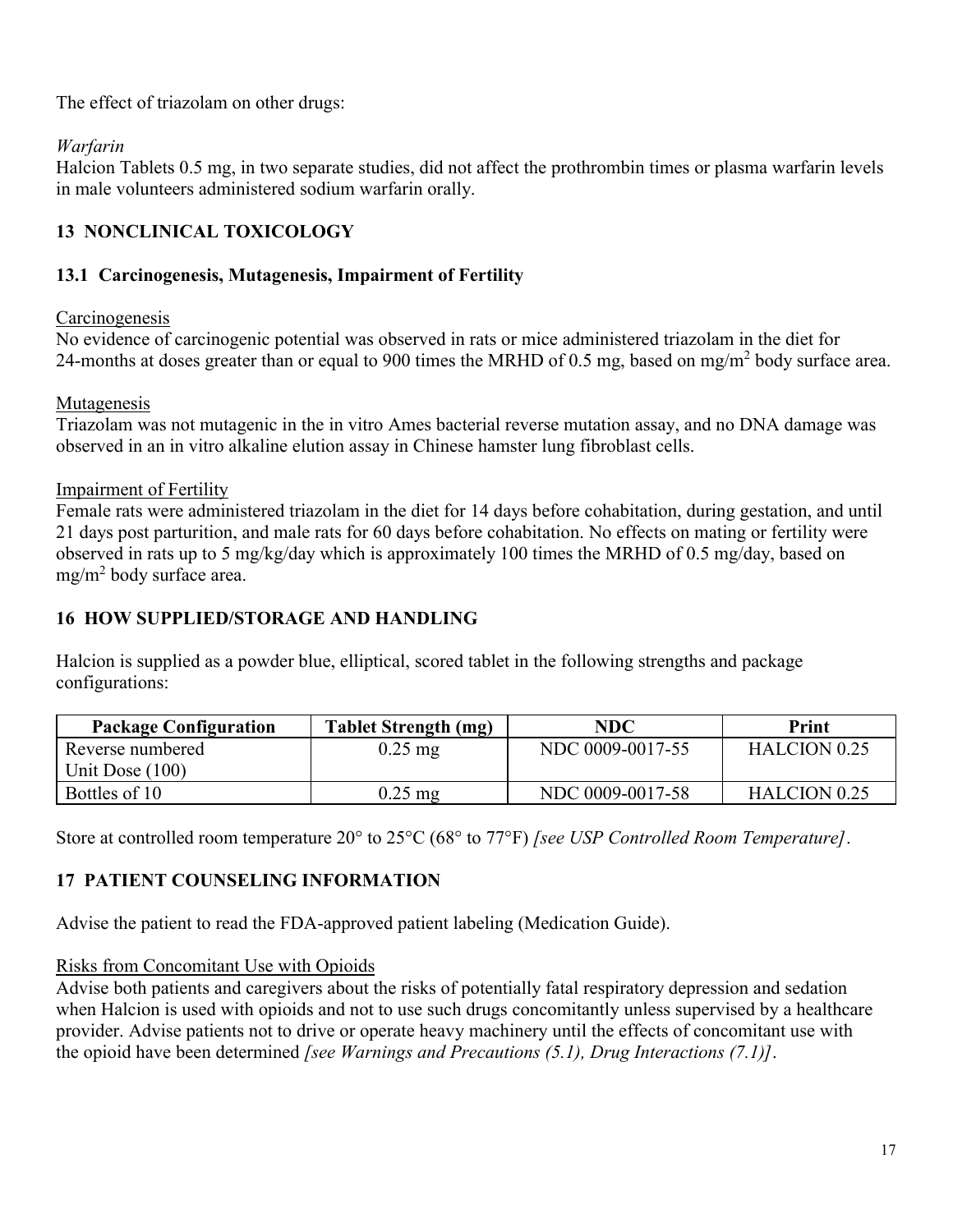The effect of triazolam on other drugs:

# *Warfarin*

Halcion Tablets 0.5 mg, in two separate studies, did not affect the prothrombin times or plasma warfarin levels in male volunteers administered sodium warfarin orally.

# **13 NONCLINICAL TOXICOLOGY**

## **13.1 Carcinogenesis, Mutagenesis, Impairment of Fertility**

## **Carcinogenesis**

No evidence of carcinogenic potential was observed in rats or mice administered triazolam in the diet for 24-months at doses greater than or equal to 900 times the MRHD of 0.5 mg, based on mg/m<sup>2</sup> body surface area.

## Mutagenesis

Triazolam was not mutagenic in the in vitro Ames bacterial reverse mutation assay, and no DNA damage was observed in an in vitro alkaline elution assay in Chinese hamster lung fibroblast cells.

Impairment of Fertility

Female rats were administered triazolam in the diet for 14 days before cohabitation, during gestation, and until 21 days post parturition, and male rats for 60 days before cohabitation. No effects on mating or fertility were observed in rats up to 5 mg/kg/day which is approximately 100 times the MRHD of 0.5 mg/day, based on mg/m<sup>2</sup> body surface area.

# **16 HOW SUPPLIED/STORAGE AND HANDLING**

Halcion is supplied as a powder blue, elliptical, scored tablet in the following strengths and package configurations:

| <b>Package Configuration</b> | <b>Tablet Strength (mg)</b> | NDC              | Print        |
|------------------------------|-----------------------------|------------------|--------------|
| Reverse numbered             | $0.25$ mg                   | NDC 0009-0017-55 | HALCION 0.25 |
| Unit Dose $(100)$            |                             |                  |              |
| Bottles of 10                | $0.25$ mg                   | NDC 0009-0017-58 | HALCION 0.25 |

Store at controlled room temperature 20° to 25°C (68° to 77°F) *[see USP Controlled Room Temperature]*.

# **17 PATIENT COUNSELING INFORMATION**

Advise the patient to read the FDA-approved patient labeling (Medication Guide).

# Risks from Concomitant Use with Opioids

Advise both patients and caregivers about the risks of potentially fatal respiratory depression and sedation when Halcion is used with opioids and not to use such drugs concomitantly unless supervised by a healthcare provider. Advise patients not to drive or operate heavy machinery until the effects of concomitant use with the opioid have been determined *[see Warnings and Precautions (5.1), Drug Interactions (7.1)]*.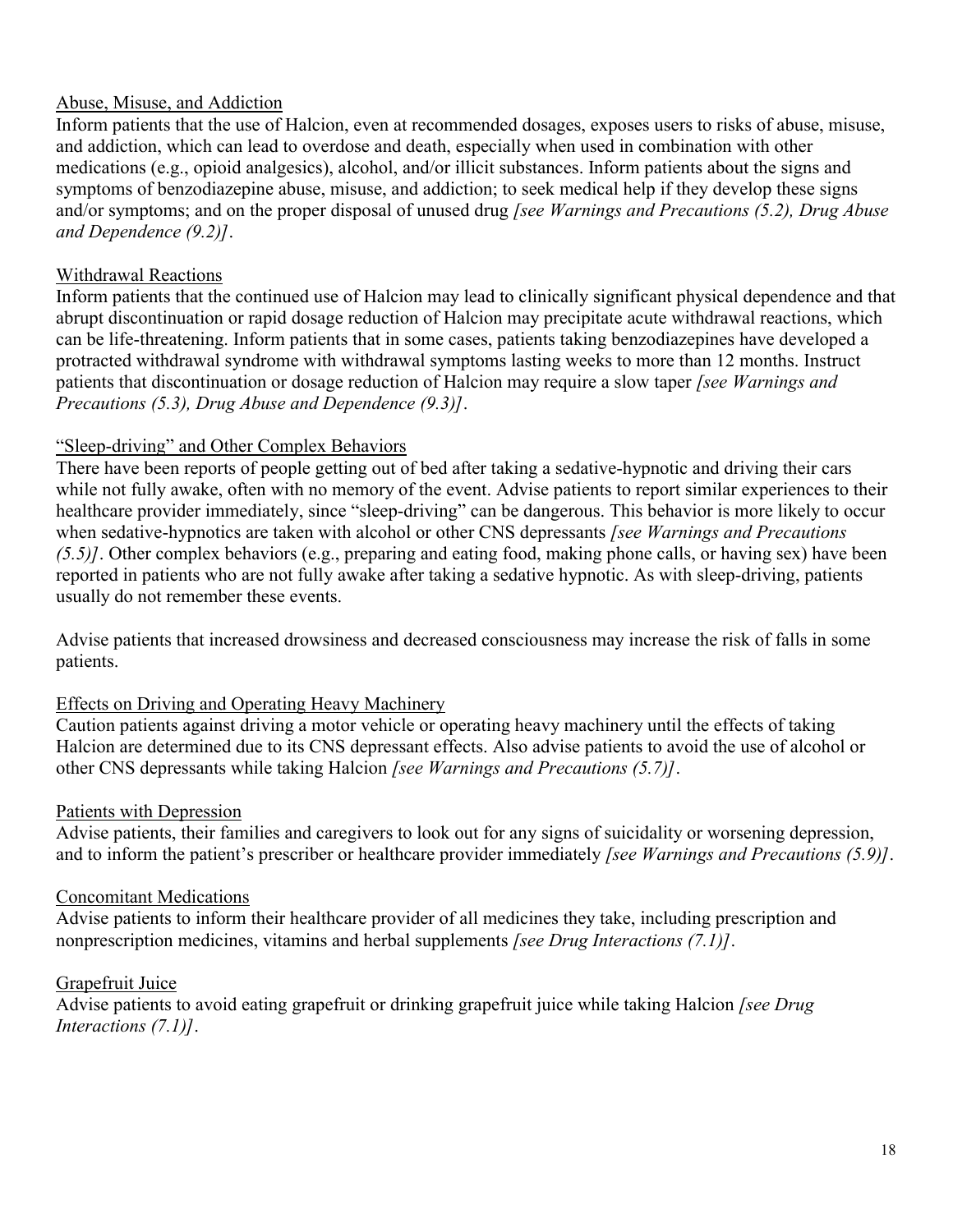## Abuse, Misuse, and Addiction

Inform patients that the use of Halcion, even at recommended dosages, exposes users to risks of abuse, misuse, and addiction, which can lead to overdose and death, especially when used in combination with other medications (e.g., opioid analgesics), alcohol, and/or illicit substances. Inform patients about the signs and symptoms of benzodiazepine abuse, misuse, and addiction; to seek medical help if they develop these signs and/or symptoms; and on the proper disposal of unused drug *[see Warnings and Precautions (5.2), Drug Abuse and Dependence (9.2)]*.

## Withdrawal Reactions

Inform patients that the continued use of Halcion may lead to clinically significant physical dependence and that abrupt discontinuation or rapid dosage reduction of Halcion may precipitate acute withdrawal reactions, which can be life-threatening. Inform patients that in some cases, patients taking benzodiazepines have developed a protracted withdrawal syndrome with withdrawal symptoms lasting weeks to more than 12 months. Instruct patients that discontinuation or dosage reduction of Halcion may require a slow taper *[see Warnings and Precautions (5.3), Drug Abuse and Dependence (9.3)]*.

## "Sleep-driving" and Other Complex Behaviors

There have been reports of people getting out of bed after taking a sedative-hypnotic and driving their cars while not fully awake, often with no memory of the event. Advise patients to report similar experiences to their healthcare provider immediately, since "sleep-driving" can be dangerous. This behavior is more likely to occur when sedative-hypnotics are taken with alcohol or other CNS depressants *[see Warnings and Precautions (5.5)]*. Other complex behaviors (e.g., preparing and eating food, making phone calls, or having sex) have been reported in patients who are not fully awake after taking a sedative hypnotic. As with sleep-driving, patients usually do not remember these events.

Advise patients that increased drowsiness and decreased consciousness may increase the risk of falls in some patients.

## Effects on Driving and Operating Heavy Machinery

Caution patients against driving a motor vehicle or operating heavy machinery until the effects of taking Halcion are determined due to its CNS depressant effects. Also advise patients to avoid the use of alcohol or other CNS depressants while taking Halcion *[see Warnings and Precautions (5.7)]*.

## Patients with Depression

Advise patients, their families and caregivers to look out for any signs of suicidality or worsening depression, and to inform the patient's prescriber or healthcare provider immediately *[see Warnings and Precautions (5.9)]*.

## Concomitant Medications

Advise patients to inform their healthcare provider of all medicines they take, including prescription and nonprescription medicines, vitamins and herbal supplements *[see Drug Interactions (7.1)]*.

## Grapefruit Juice

Advise patients to avoid eating grapefruit or drinking grapefruit juice while taking Halcion *[see Drug Interactions (7.1)]*.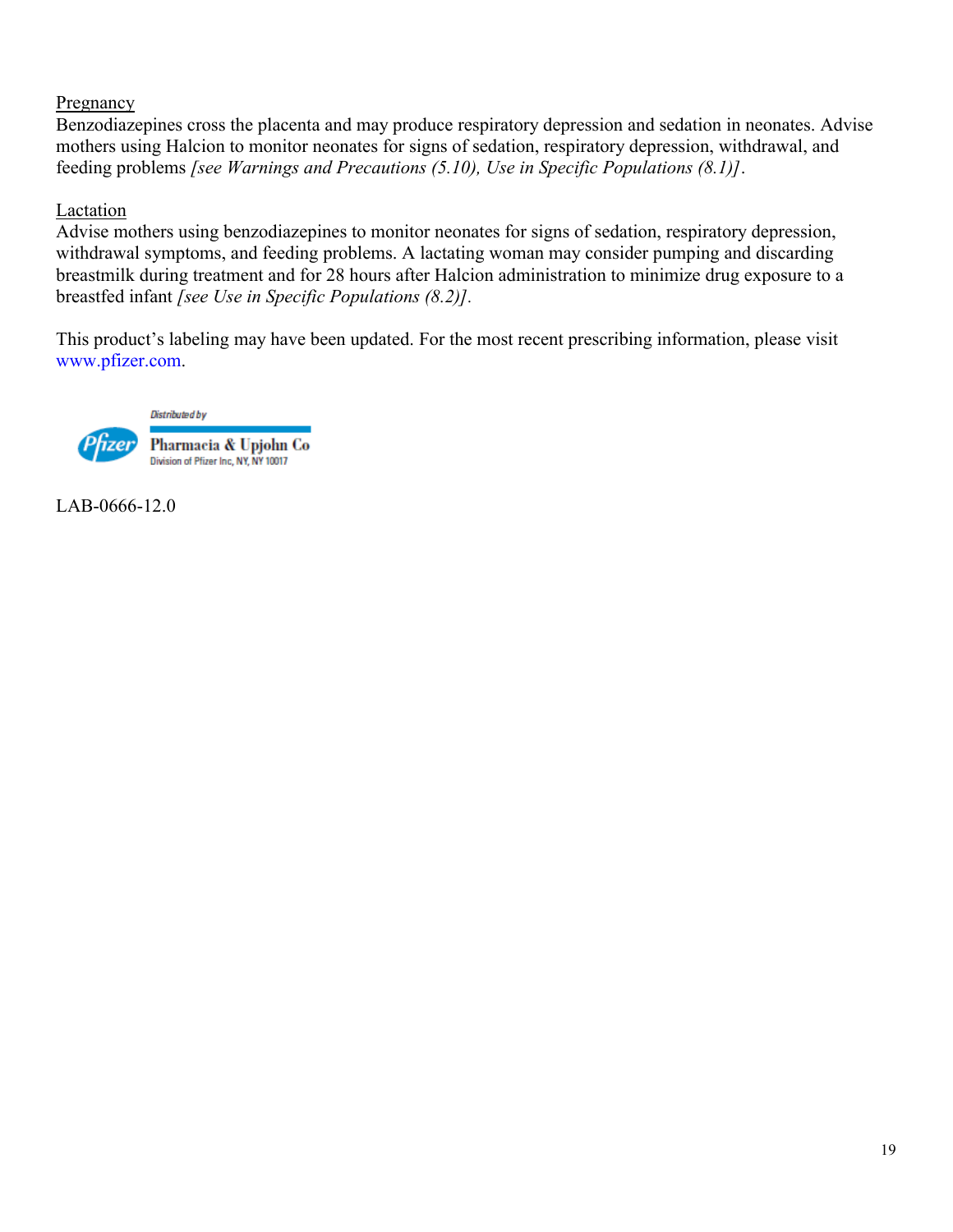## Pregnancy

Benzodiazepines cross the placenta and may produce respiratory depression and sedation in neonates. Advise mothers using Halcion to monitor neonates for signs of sedation, respiratory depression, withdrawal, and feeding problems *[see Warnings and Precautions (5.10), Use in Specific Populations (8.1)]*.

## Lactation

Advise mothers using benzodiazepines to monitor neonates for signs of sedation, respiratory depression, withdrawal symptoms, and feeding problems. A lactating woman may consider pumping and discarding breastmilk during treatment and for 28 hours after Halcion administration to minimize drug exposure to a breastfed infant *[see Use in Specific Populations (8.2)].*

This product's labeling may have been updated. For the most recent prescribing information, please visit [www.pfizer.com.](http://www.pfizer.com/)



LAB-0666-12.0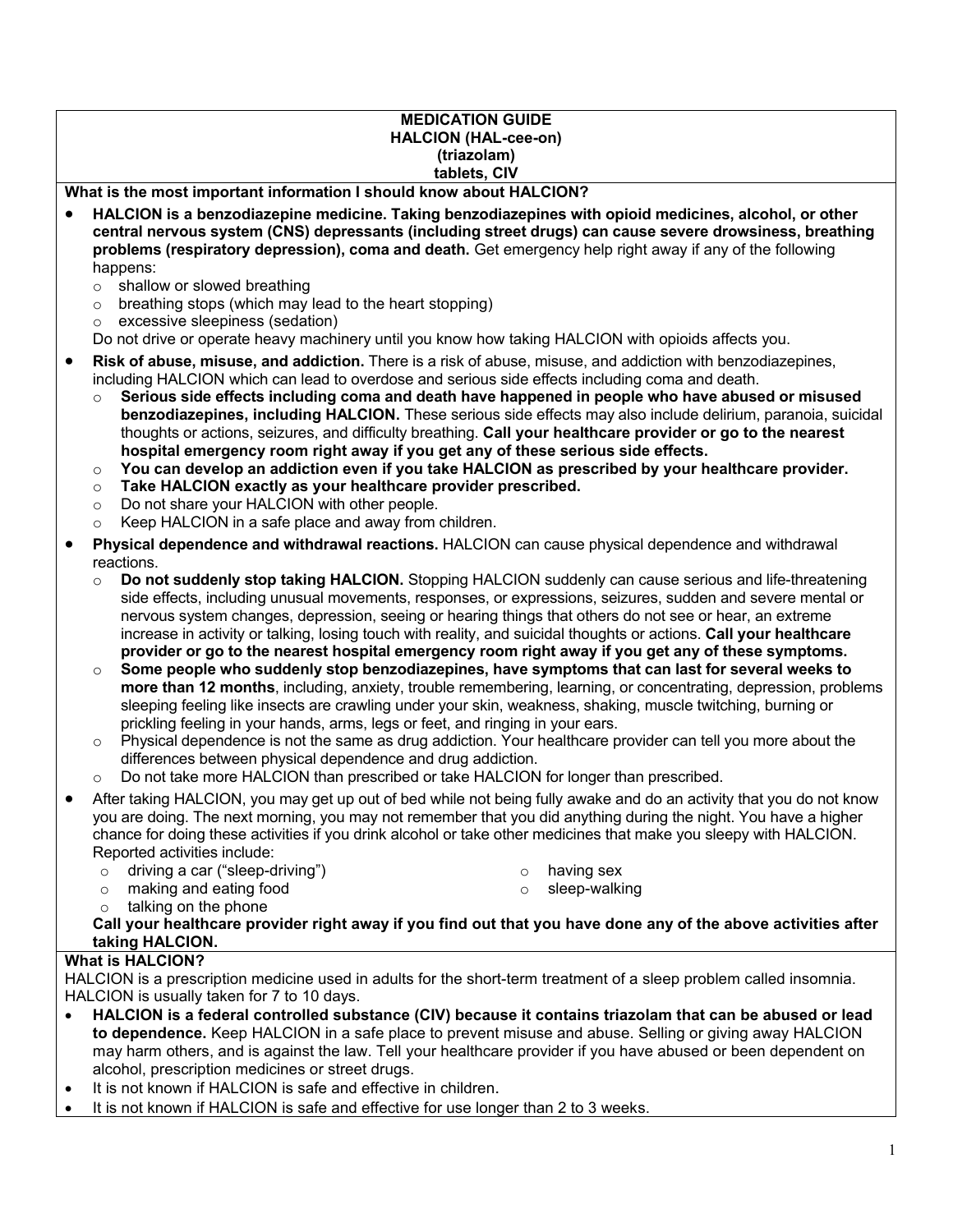#### **MEDICATION GUIDE HALCION (HAL-cee-on) (triazolam) tablets, CIV**

**What is the most important information I should know about HALCION?**

- **HALCION is a benzodiazepine medicine. Taking benzodiazepines with opioid medicines, alcohol, or other central nervous system (CNS) depressants (including street drugs) can cause severe drowsiness, breathing problems (respiratory depression), coma and death.** Get emergency help right away if any of the following happens:
	- $\circ$  shallow or slowed breathing
	- $\circ$  breathing stops (which may lead to the heart stopping)
	- o excessive sleepiness (sedation)

Do not drive or operate heavy machinery until you know how taking HALCION with opioids affects you.

- **Risk of abuse, misuse, and addiction.** There is a risk of abuse, misuse, and addiction with benzodiazepines, including HALCION which can lead to overdose and serious side effects including coma and death.
	- o **Serious side effects including coma and death have happened in people who have abused or misused benzodiazepines, including HALCION.** These serious side effects may also include delirium, paranoia, suicidal thoughts or actions, seizures, and difficulty breathing. **Call your healthcare provider or go to the nearest hospital emergency room right away if you get any of these serious side effects.**
	- o **You can develop an addiction even if you take HALCION as prescribed by your healthcare provider.**
	- o **Take HALCION exactly as your healthcare provider prescribed.**
	- o Do not share your HALCION with other people.
	- Keep HALCION in a safe place and away from children.
- **Physical dependence and withdrawal reactions.** HALCION can cause physical dependence and withdrawal reactions.
	- o **Do not suddenly stop taking HALCION.** Stopping HALCION suddenly can cause serious and life-threatening side effects, including unusual movements, responses, or expressions, seizures, sudden and severe mental or nervous system changes, depression, seeing or hearing things that others do not see or hear, an extreme increase in activity or talking, losing touch with reality, and suicidal thoughts or actions. **Call your healthcare provider or go to the nearest hospital emergency room right away if you get any of these symptoms.**
	- o **Some people who suddenly stop benzodiazepines, have symptoms that can last for several weeks to more than 12 months**, including, anxiety, trouble remembering, learning, or concentrating, depression, problems sleeping feeling like insects are crawling under your skin, weakness, shaking, muscle twitching, burning or prickling feeling in your hands, arms, legs or feet, and ringing in your ears.
	- $\circ$  Physical dependence is not the same as drug addiction. Your healthcare provider can tell you more about the differences between physical dependence and drug addiction.
	- Do not take more HALCION than prescribed or take HALCION for longer than prescribed.
- After taking HALCION, you may get up out of bed while not being fully awake and do an activity that you do not know you are doing. The next morning, you may not remember that you did anything during the night. You have a higher chance for doing these activities if you drink alcohol or take other medicines that make you sleepy with HALCION. Reported activities include:
	- o driving a car ("sleep-driving") o having sex<br>o making and eating food o sleep-walking
- - $\circ$  making and eating food  $\circ$
	- talking on the phone

**Call your healthcare provider right away if you find out that you have done any of the above activities after taking HALCION.**

#### **What is HALCION?**

HALCION is a prescription medicine used in adults for the short-term treatment of a sleep problem called insomnia. HALCION is usually taken for 7 to 10 days.

- **HALCION is a federal controlled substance (CIV) because it contains triazolam that can be abused or lead to dependence.** Keep HALCION in a safe place to prevent misuse and abuse. Selling or giving away HALCION may harm others, and is against the law. Tell your healthcare provider if you have abused or been dependent on alcohol, prescription medicines or street drugs.
- It is not known if HALCION is safe and effective in children.
- It is not known if HALCION is safe and effective for use longer than 2 to 3 weeks.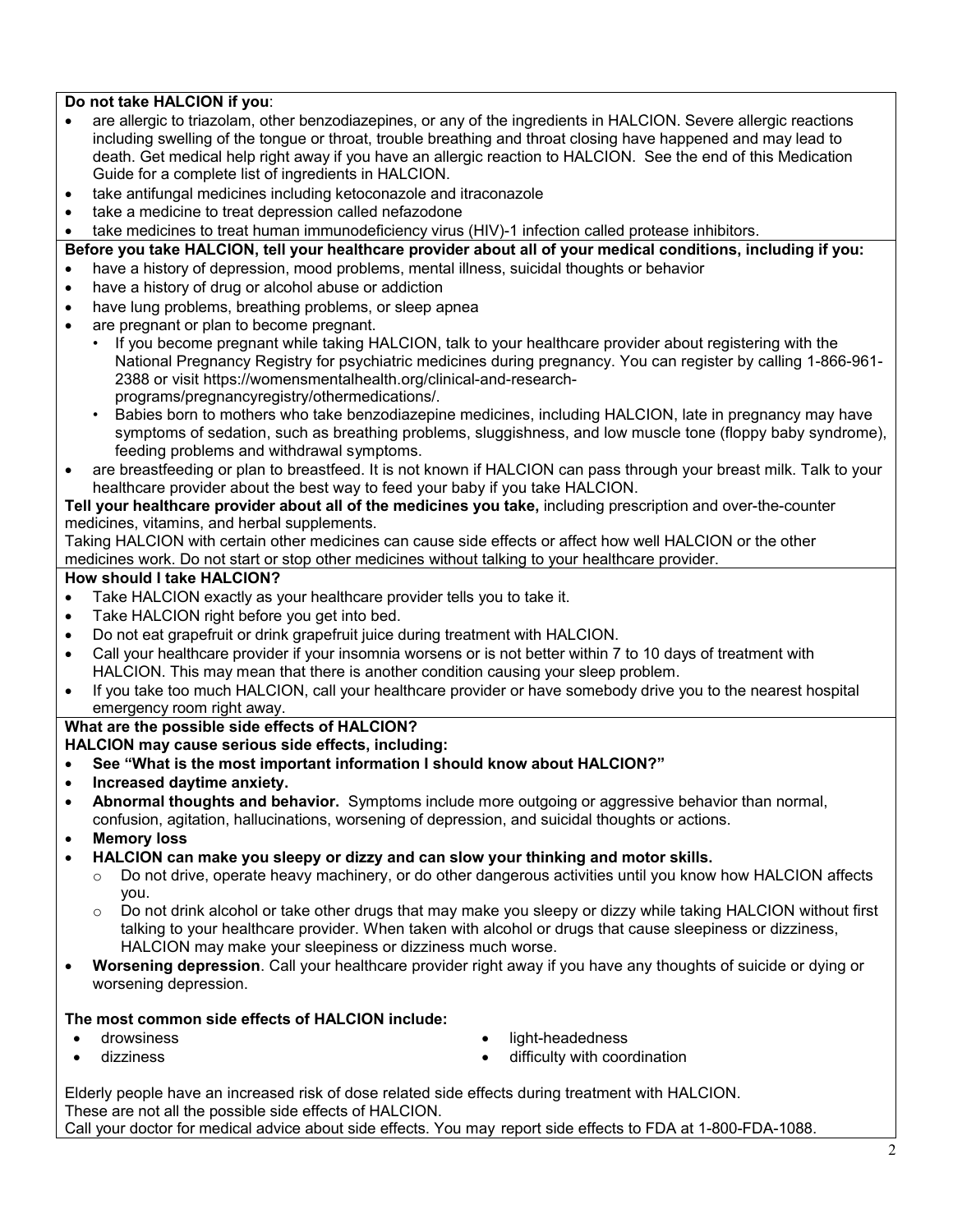#### **Do not take HALCION if you**:

- are allergic to triazolam, other benzodiazepines, or any of the ingredients in HALCION. Severe allergic reactions including swelling of the tongue or throat, trouble breathing and throat closing have happened and may lead to death. Get medical help right away if you have an allergic reaction to HALCION. See the end of this Medication Guide for a complete list of ingredients in HALCION.
- take antifungal medicines including ketoconazole and itraconazole
- take a medicine to treat depression called nefazodone
- take medicines to treat human immunodeficiency virus (HIV)-1 infection called protease inhibitors.

## **Before you take HALCION, tell your healthcare provider about all of your medical conditions, including if you:**

- have a history of depression, mood problems, mental illness, suicidal thoughts or behavior
- have a history of drug or alcohol abuse or addiction
- have lung problems, breathing problems, or sleep apnea
- are pregnant or plan to become pregnant.
	- If you become pregnant while taking HALCION, talk to your healthcare provider about registering with the National Pregnancy Registry for psychiatric medicines during pregnancy. You can register by calling 1-866-961- 2388 or visit https://womensmentalhealth.org/clinical-and-researchprograms/pregnancyregistry/othermedications/.
	- Babies born to mothers who take benzodiazepine medicines, including HALCION, late in pregnancy may have symptoms of sedation, such as breathing problems, sluggishness, and low muscle tone (floppy baby syndrome), feeding problems and withdrawal symptoms.
- are breastfeeding or plan to breastfeed. It is not known if HALCION can pass through your breast milk. Talk to your healthcare provider about the best way to feed your baby if you take HALCION.

**Tell your healthcare provider about all of the medicines you take,** including prescription and over-the-counter medicines, vitamins, and herbal supplements.

Taking HALCION with certain other medicines can cause side effects or affect how well HALCION or the other medicines work. Do not start or stop other medicines without talking to your healthcare provider.

#### **How should I take HALCION?**

- Take HALCION exactly as your healthcare provider tells you to take it.
- Take HALCION right before you get into bed.
- Do not eat grapefruit or drink grapefruit juice during treatment with HALCION.
- Call your healthcare provider if your insomnia worsens or is not better within 7 to 10 days of treatment with HALCION. This may mean that there is another condition causing your sleep problem.
- If you take too much HALCION, call your healthcare provider or have somebody drive you to the nearest hospital emergency room right away.

#### **What are the possible side effects of HALCION?**

**HALCION may cause serious side effects, including:**

#### **See "What is the most important information I should know about HALCION?"**

- **Increased daytime anxiety.**
- **Abnormal thoughts and behavior.** Symptoms include more outgoing or aggressive behavior than normal, confusion, agitation, hallucinations, worsening of depression, and suicidal thoughts or actions.
- **Memory loss**
- **HALCION can make you sleepy or dizzy and can slow your thinking and motor skills.**
	- o Do not drive, operate heavy machinery, or do other dangerous activities until you know how HALCION affects you.
	- o Do not drink alcohol or take other drugs that may make you sleepy or dizzy while taking HALCION without first talking to your healthcare provider. When taken with alcohol or drugs that cause sleepiness or dizziness, HALCION may make your sleepiness or dizziness much worse.
- **Worsening depression**. Call your healthcare provider right away if you have any thoughts of suicide or dying or worsening depression.

#### **The most common side effects of HALCION include:**

- 
- 
- drowsiness **light-headedness light-headedness** 
	- dizziness **difficulty with coordination**

Elderly people have an increased risk of dose related side effects during treatment with HALCION. These are not all the possible side effects of HALCION. Call your doctor for medical advice about side effects. You may report side effects to FDA at 1-800-FDA-1088.